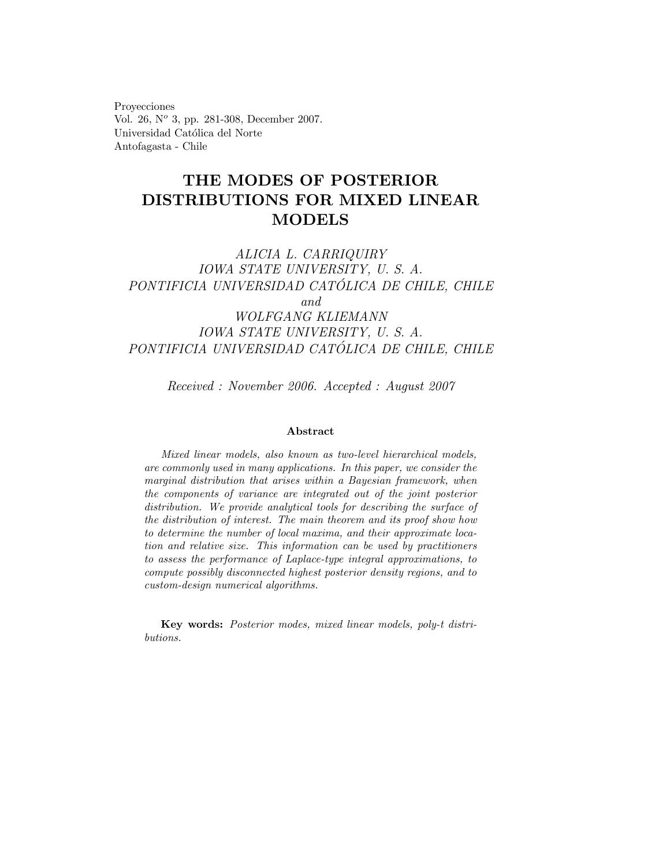Proyecciones Vol. 26, N° 3, pp. 281-308, December 2007. Universidad Católica del Norte Antofagasta - Chile

# THE MODES OF POSTERIOR DISTRIBUTIONS FOR MIXED LINEAR MODELS

# ALICIA L. CARRIQUIRY IOWA STATE UNIVERSITY, U. S. A. PONTIFICIA UNIVERSIDAD CATÓLICA DE CHILE, CHILE and WOLFGANG KLIEMANN IOWA STATE UNIVERSITY, U. S. A. PONTIFICIA UNIVERSIDAD CATÓLICA DE CHILE, CHILE

Received : November 2006. Accepted : August 2007

#### Abstract

Mixed linear models, also known as two-level hierarchical models, are commonly used in many applications. In this paper, we consider the marginal distribution that arises within a Bayesian framework, when the components of variance are integrated out of the joint posterior distribution. We provide analytical tools for describing the surface of the distribution of interest. The main theorem and its proof show how to determine the number of local maxima, and their approximate location and relative size. This information can be used by practitioners to assess the performance of Laplace-type integral approximations, to compute possibly disconnected highest posterior density regions, and to custom-design numerical algorithms.

Key words: Posterior modes, mixed linear models, poly-t distributions.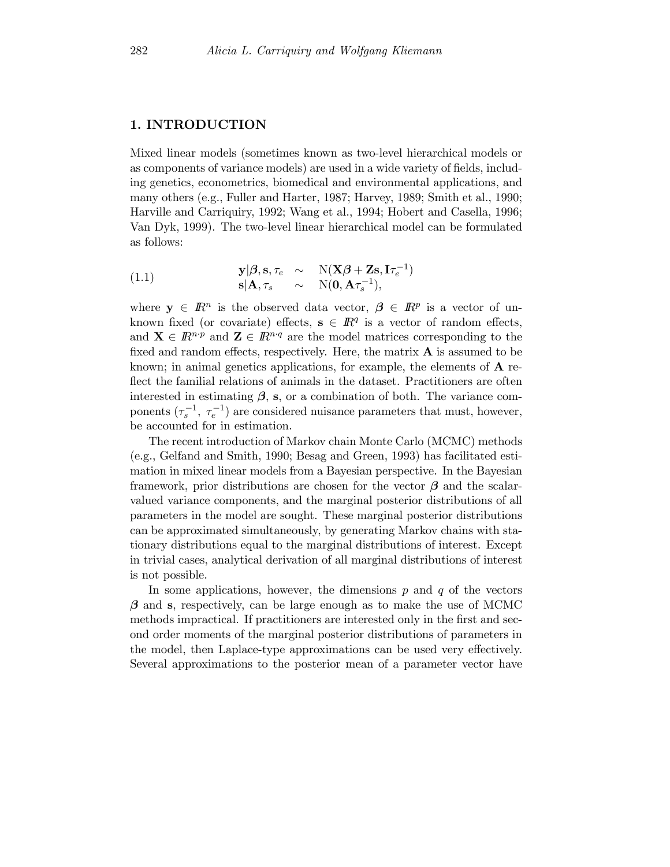#### 1. INTRODUCTION

Mixed linear models (sometimes known as two-level hierarchical models or as components of variance models) are used in a wide variety of fields, including genetics, econometrics, biomedical and environmental applications, and many others (e.g., Fuller and Harter, 1987; Harvey, 1989; Smith et al., 1990; Harville and Carriquiry, 1992; Wang et al., 1994; Hobert and Casella, 1996; Van Dyk, 1999). The two-level linear hierarchical model can be formulated as follows:

(1.1) 
$$
\mathbf{y}|\boldsymbol{\beta}, \mathbf{s}, \tau_e \sim N(\mathbf{X}\boldsymbol{\beta} + \mathbf{Z}\mathbf{s}, \mathbf{I}\tau_e^{-1})
$$

$$
\mathbf{s}|\mathbf{A}, \tau_s \sim N(\mathbf{0}, \mathbf{A}\tau_s^{-1}),
$$

where  $y \in \mathbb{R}^n$  is the observed data vector,  $\beta \in \mathbb{R}^p$  is a vector of unknown fixed (or covariate) effects,  $s \in \mathbb{R}^q$  is a vector of random effects, and  $\mathbf{X} \in \mathbb{R}^{n \cdot p}$  and  $\mathbf{Z} \in \mathbb{R}^{n \cdot q}$  are the model matrices corresponding to the fixed and random effects, respectively. Here, the matrix  $A$  is assumed to be known; in animal genetics applications, for example, the elements of  $\bf{A}$  reflect the familial relations of animals in the dataset. Practitioners are often interested in estimating  $\beta$ , s, or a combination of both. The variance components  $(\tau_s^{-1}, \tau_e^{-1})$  are considered nuisance parameters that must, however, be accounted for in estimation.

The recent introduction of Markov chain Monte Carlo (MCMC) methods (e.g., Gelfand and Smith, 1990; Besag and Green, 1993) has facilitated estimation in mixed linear models from a Bayesian perspective. In the Bayesian framework, prior distributions are chosen for the vector  $\beta$  and the scalarvalued variance components, and the marginal posterior distributions of all parameters in the model are sought. These marginal posterior distributions can be approximated simultaneously, by generating Markov chains with stationary distributions equal to the marginal distributions of interest. Except in trivial cases, analytical derivation of all marginal distributions of interest is not possible.

In some applications, however, the dimensions  $p$  and  $q$  of the vectors  $\beta$  and s, respectively, can be large enough as to make the use of MCMC methods impractical. If practitioners are interested only in the first and second order moments of the marginal posterior distributions of parameters in the model, then Laplace-type approximations can be used very effectively. Several approximations to the posterior mean of a parameter vector have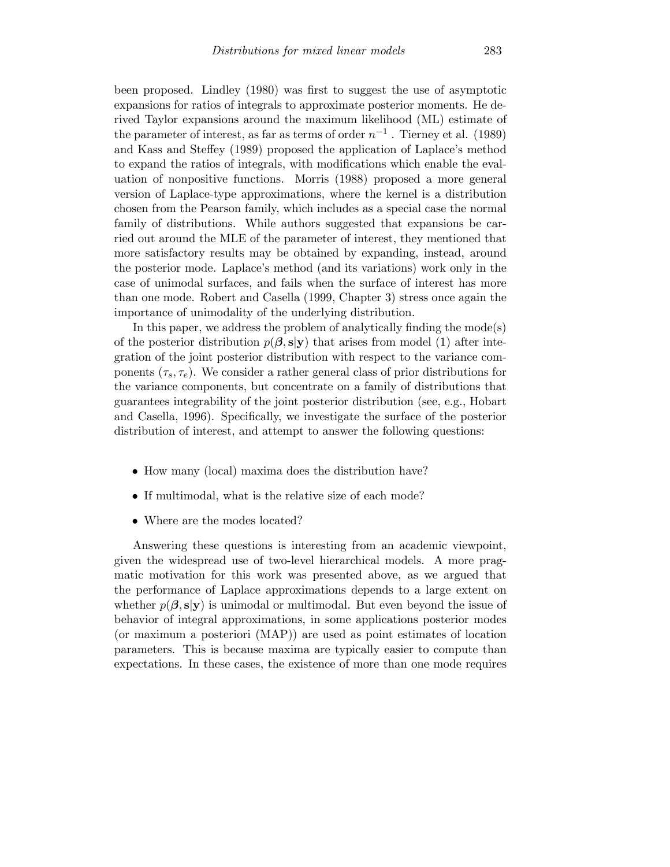been proposed. Lindley (1980) was first to suggest the use of asymptotic expansions for ratios of integrals to approximate posterior moments. He derived Taylor expansions around the maximum likelihood (ML) estimate of the parameter of interest, as far as terms of order  $n^{-1}$ . Tierney et al. (1989) and Kass and Steffey (1989) proposed the application of Laplace's method to expand the ratios of integrals, with modifications which enable the evaluation of nonpositive functions. Morris (1988) proposed a more general version of Laplace-type approximations, where the kernel is a distribution chosen from the Pearson family, which includes as a special case the normal family of distributions. While authors suggested that expansions be carried out around the MLE of the parameter of interest, they mentioned that more satisfactory results may be obtained by expanding, instead, around the posterior mode. Laplace's method (and its variations) work only in the case of unimodal surfaces, and fails when the surface of interest has more than one mode. Robert and Casella (1999, Chapter 3) stress once again the importance of unimodality of the underlying distribution.

In this paper, we address the problem of analytically finding the mode(s) of the posterior distribution  $p(\beta, s|y)$  that arises from model (1) after integration of the joint posterior distribution with respect to the variance components  $(\tau_s, \tau_e)$ . We consider a rather general class of prior distributions for the variance components, but concentrate on a family of distributions that guarantees integrability of the joint posterior distribution (see, e.g., Hobart and Casella, 1996). Specifically, we investigate the surface of the posterior distribution of interest, and attempt to answer the following questions:

- How many (local) maxima does the distribution have?
- If multimodal, what is the relative size of each mode?
- Where are the modes located?

Answering these questions is interesting from an academic viewpoint, given the widespread use of two-level hierarchical models. A more pragmatic motivation for this work was presented above, as we argued that the performance of Laplace approximations depends to a large extent on whether  $p(\beta, s|y)$  is unimodal or multimodal. But even beyond the issue of behavior of integral approximations, in some applications posterior modes (or maximum a posteriori (MAP)) are used as point estimates of location parameters. This is because maxima are typically easier to compute than expectations. In these cases, the existence of more than one mode requires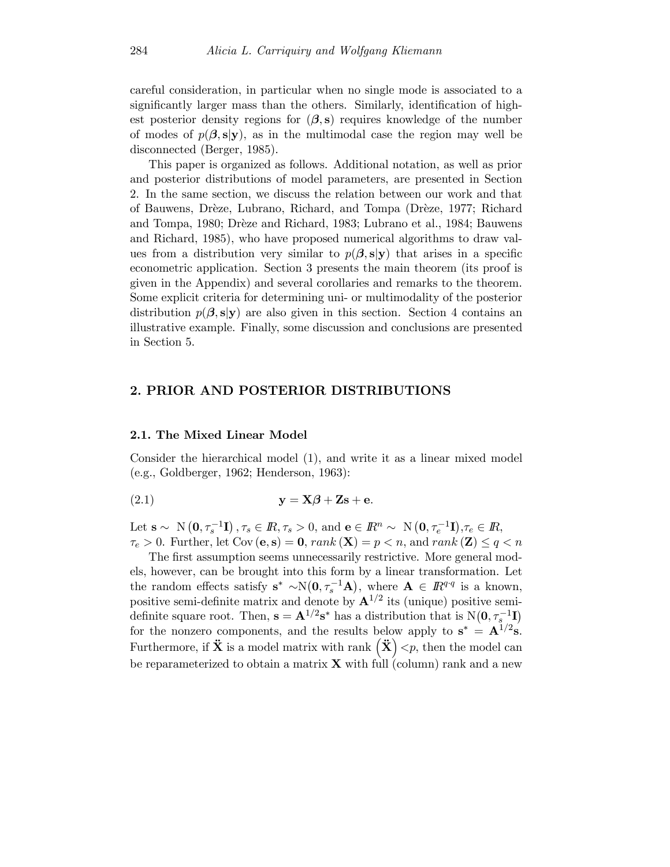careful consideration, in particular when no single mode is associated to a significantly larger mass than the others. Similarly, identification of highest posterior density regions for  $(\beta, s)$  requires knowledge of the number of modes of  $p(\beta, s|y)$ , as in the multimodal case the region may well be disconnected (Berger, 1985).

This paper is organized as follows. Additional notation, as well as prior and posterior distributions of model parameters, are presented in Section 2. In the same section, we discuss the relation between our work and that of Bauwens, Drèze, Lubrano, Richard, and Tompa (Drèze, 1977; Richard and Tompa, 1980; Drèze and Richard, 1983; Lubrano et al., 1984; Bauwens and Richard, 1985), who have proposed numerical algorithms to draw values from a distribution very similar to  $p(\beta, s|y)$  that arises in a specific econometric application. Section 3 presents the main theorem (its proof is given in the Appendix) and several corollaries and remarks to the theorem. Some explicit criteria for determining uni- or multimodality of the posterior distribution  $p(\beta, s|y)$  are also given in this section. Section 4 contains an illustrative example. Finally, some discussion and conclusions are presented in Section 5.

# 2. PRIOR AND POSTERIOR DISTRIBUTIONS

#### 2.1. The Mixed Linear Model

Consider the hierarchical model (1), and write it as a linear mixed model (e.g., Goldberger, 1962; Henderson, 1963):

$$
y = X\beta + Zs + e.
$$

Let  $\mathbf{s} \sim \mathbb{N}\left(\mathbf{0}, \tau_s^{-1} \mathbf{I}\right), \tau_s \in \mathbb{R}, \tau_s > 0$ , and  $\mathbf{e} \in \mathbb{R}^n \sim \mathbb{N}\left(\mathbf{0}, \tau_e^{-1} \mathbf{I}\right), \tau_e \in \mathbb{R},$  $\tau_e > 0$ . Further, let Cov (e, s) = 0, rank (X) = p < n, and rank (Z)  $\leq q < n$ 

The first assumption seems unnecessarily restrictive. More general models, however, can be brought into this form by a linear transformation. Let the random effects satisfy  $s^* \sim N(0, \tau_s^{-1}A)$ , where  $A \in \mathbb{R}^{q \cdot q}$  is a known, positive semi-definite matrix and denote by  $\mathbf{A}^{1/2}$  its (unique) positive semidefinite square root. Then,  $\mathbf{s} = \mathbf{A}^{1/2} \mathbf{s}^*$  has a distribution that is  $N(\mathbf{0}, \tau_s^{-1} \mathbf{I})$ for the nonzero components, and the results below apply to  $s^* = A^{1/2}s$ . Furthermore, if  $\ddot{\mathbf{X}}$  is a model matrix with rank  $(\ddot{\mathbf{X}}) < p$ , then the model can be reparameterized to obtain a matrix  $\bf{X}$  with full (column) rank and a new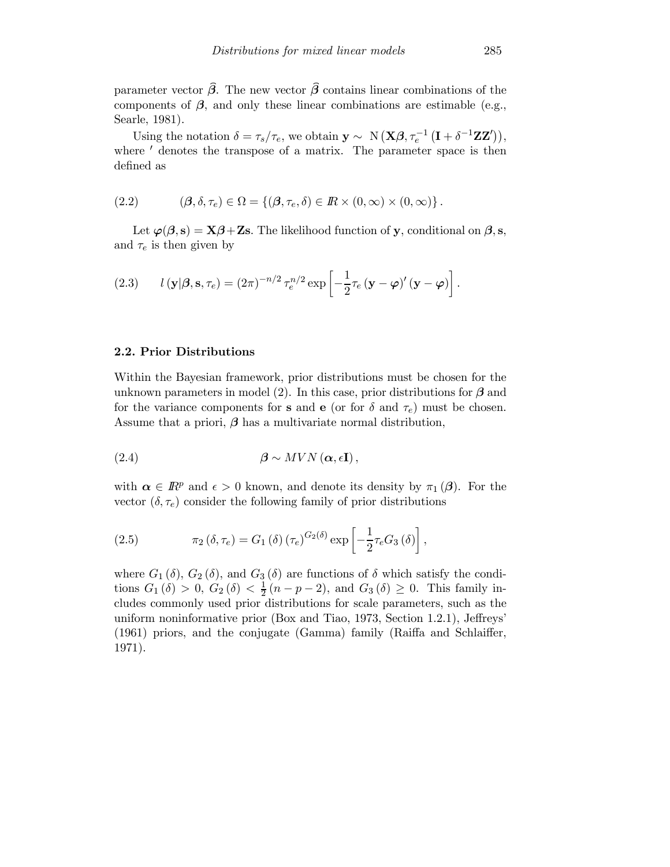parameter vector  $\hat{\beta}$ . The new vector  $\hat{\beta}$  contains linear combinations of the components of  $\beta$ , and only these linear combinations are estimable (e.g., Searle, 1981).

Using the notation  $\delta = \tau_s/\tau_e$ , we obtain  $\mathbf{y} \sim N(\mathbf{X}\boldsymbol{\beta}, \tau_e^{-1}(\mathbf{I} + \delta^{-1}\mathbf{Z}\mathbf{Z}'))$ , where  $'$  denotes the transpose of a matrix. The parameter space is then defined as

(2.2) 
$$
(\boldsymbol{\beta}, \delta, \tau_e) \in \Omega = \{(\boldsymbol{\beta}, \tau_e, \delta) \in \mathbb{R} \times (0, \infty) \times (0, \infty)\}.
$$

Let  $\varphi(\beta, s) = \mathbf{X}\beta + \mathbf{Z}s$ . The likelihood function of y, conditional on  $\beta, s$ , and  $\tau_e$  is then given by

(2.3) 
$$
l(\mathbf{y}|\boldsymbol{\beta}, \mathbf{s}, \tau_e) = (2\pi)^{-n/2} \tau_e^{n/2} \exp \left[ -\frac{1}{2} \tau_e (\mathbf{y} - \boldsymbol{\varphi})' (\mathbf{y} - \boldsymbol{\varphi}) \right].
$$

#### 2.2. Prior Distributions

Within the Bayesian framework, prior distributions must be chosen for the unknown parameters in model (2). In this case, prior distributions for  $\beta$  and for the variance components for **s** and **e** (or for  $\delta$  and  $\tau_e$ ) must be chosen. Assume that a priori,  $\beta$  has a multivariate normal distribution,

(2.4) 
$$
\beta \sim MVN\left(\alpha,\epsilon\mathbf{I}\right),
$$

with  $\alpha \in \mathbb{R}^p$  and  $\epsilon > 0$  known, and denote its density by  $\pi_1(\beta)$ . For the vector  $(\delta, \tau_e)$  consider the following family of prior distributions

(2.5) 
$$
\pi_2(\delta, \tau_e) = G_1(\delta) (\tau_e)^{G_2(\delta)} \exp \left[ -\frac{1}{2} \tau_e G_3(\delta) \right],
$$

where  $G_1(\delta)$ ,  $G_2(\delta)$ , and  $G_3(\delta)$  are functions of  $\delta$  which satisfy the conditions  $G_1(\delta) > 0$ ,  $G_2(\delta) < \frac{1}{2}(n-p-2)$ , and  $G_3(\delta) \ge 0$ . This family includes commonly used prior distributions for scale parameters, such as the uniform noninformative prior (Box and Tiao, 1973, Section 1.2.1), Jeffreys' (1961) priors, and the conjugate (Gamma) family (Raiffa and Schlaiffer, 1971).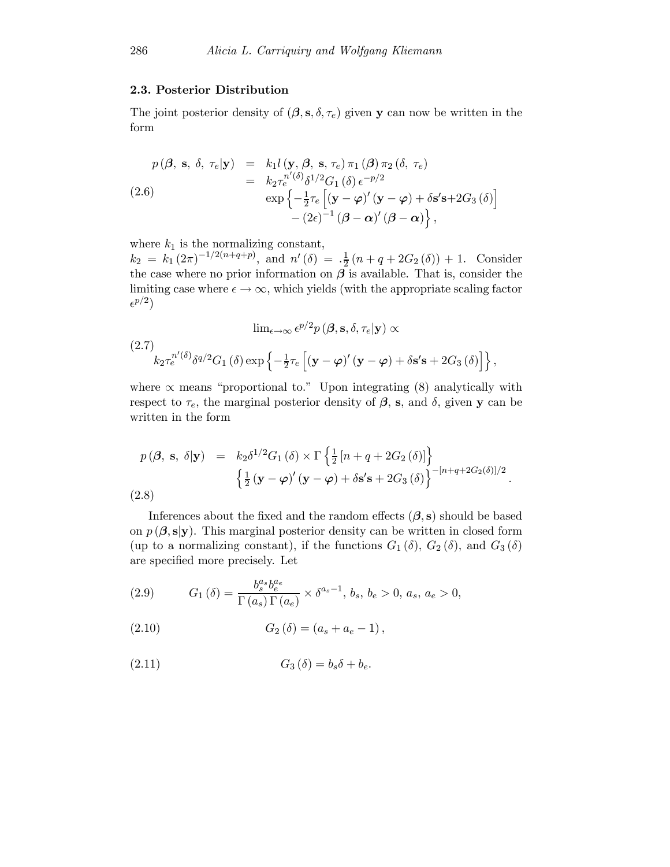#### 2.3. Posterior Distribution

The joint posterior density of  $(\beta, s, \delta, \tau_e)$  given y can now be written in the form

$$
p(\boldsymbol{\beta}, \mathbf{s}, \delta, \tau_e | \mathbf{y}) = k_1 l(\mathbf{y}, \boldsymbol{\beta}, \mathbf{s}, \tau_e) \pi_1(\boldsymbol{\beta}) \pi_2(\delta, \tau_e)
$$
  
\n
$$
= k_2 \tau_e^{n'(\delta)} \delta^{1/2} G_1(\delta) \epsilon^{-p/2}
$$
  
\n
$$
\exp \left\{-\frac{1}{2} \tau_e \left[ (\mathbf{y} - \boldsymbol{\varphi})' (\mathbf{y} - \boldsymbol{\varphi}) + \delta \mathbf{s}' \mathbf{s} + 2G_3(\delta) \right] - (2\epsilon)^{-1} (\boldsymbol{\beta} - \boldsymbol{\alpha})' (\boldsymbol{\beta} - \boldsymbol{\alpha}) \right\},
$$

where  $k_1$  is the normalizing constant,

 $k_2 = k_1 (2\pi)^{-1/2(n+q+p)}$ , and  $n'(\delta) = \frac{1}{2}(n+q+2G_2(\delta)) + 1$ . Consider the case where no prior information on  $\beta$  is available. That is, consider the limiting case where  $\epsilon \to \infty$ , which yields (with the appropriate scaling factor  $\epsilon^{p/2}$ 

$$
\lim_{\epsilon \to \infty} \epsilon^{p/2} p(\boldsymbol{\beta}, \mathbf{s}, \delta, \tau_e | \mathbf{y}) \propto
$$
\n
$$
(2.7)
$$
\n
$$
k_2 \tau_e^{n'(\delta)} \delta^{q/2} G_1(\delta) \exp \left\{ -\frac{1}{2} \tau_e \left[ (\mathbf{y} - \boldsymbol{\varphi})' (\mathbf{y} - \boldsymbol{\varphi}) + \delta \mathbf{s}' \mathbf{s} + 2G_3(\delta) \right] \right\},
$$

where  $\propto$  means "proportional to." Upon integrating (8) analytically with respect to  $\tau_e$ , the marginal posterior density of  $\beta$ , s, and  $\delta$ , given y can be written in the form

$$
p(\boldsymbol{\beta}, \mathbf{s}, \delta | \mathbf{y}) = k_2 \delta^{1/2} G_1(\delta) \times \Gamma \left\{ \frac{1}{2} \left[ n + q + 2G_2(\delta) \right] \right\}
$$

$$
\left\{ \frac{1}{2} (\mathbf{y} - \boldsymbol{\varphi})' (\mathbf{y} - \boldsymbol{\varphi}) + \delta \mathbf{s}' \mathbf{s} + 2G_3(\delta) \right\}^{-\left[ n + q + 2G_2(\delta) \right] / 2}.
$$
  
(2.8)

Inferences about the fixed and the random effects  $(\beta, s)$  should be based on  $p(\beta, s|y)$ . This marginal posterior density can be written in closed form (up to a normalizing constant), if the functions  $G_1(\delta)$ ,  $G_2(\delta)$ , and  $G_3(\delta)$ are specified more precisely. Let

(2.9) 
$$
G_1(\delta) = \frac{b_s^{a_s} b_e^{a_e}}{\Gamma(a_s) \Gamma(a_e)} \times \delta^{a_s - 1}, \, b_s, \, b_e > 0, \, a_s, \, a_e > 0,
$$

(2.10) 
$$
G_2(\delta) = (a_s + a_e - 1),
$$

$$
(2.11) \tG3(\delta) = bs\delta + be.
$$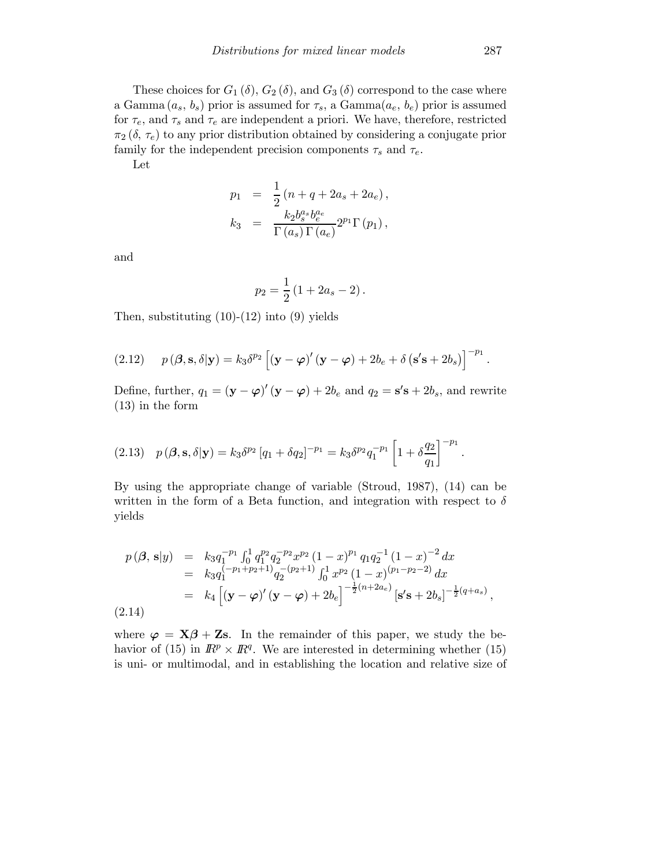These choices for  $G_1(\delta)$ ,  $G_2(\delta)$ , and  $G_3(\delta)$  correspond to the case where a Gamma  $(a_s, b_s)$  prior is assumed for  $\tau_s$ , a Gamma $(a_e, b_e)$  prior is assumed for  $\tau_e$ , and  $\tau_s$  and  $\tau_e$  are independent a priori. We have, therefore, restricted  $\pi_2$  ( $\delta$ ,  $\tau_e$ ) to any prior distribution obtained by considering a conjugate prior family for the independent precision components  $\tau_s$  and  $\tau_e$ .

Let

$$
p_1 = \frac{1}{2} (n + q + 2a_s + 2a_e),
$$
  
\n
$$
k_3 = \frac{k_2 b_s^{a_s} b_e^{a_e}}{\Gamma(a_s) \Gamma(a_e)} 2^{p_1} \Gamma(p_1),
$$

and

$$
p_2 = \frac{1}{2} (1 + 2a_s - 2).
$$

Then, substituting  $(10)-(12)$  into  $(9)$  yields

(2.12) 
$$
p(\boldsymbol{\beta}, \mathbf{s}, \delta | \mathbf{y}) = k_3 \delta^{p_2} \left[ (\mathbf{y} - \boldsymbol{\varphi})' (\mathbf{y} - \boldsymbol{\varphi}) + 2b_e + \delta (\mathbf{s}' \mathbf{s} + 2b_s) \right]^{-p_1}
$$
.

Define, further,  $q_1 = (\mathbf{y} - \boldsymbol{\varphi})'(\mathbf{y} - \boldsymbol{\varphi}) + 2b_e$  and  $q_2 = \mathbf{s}'\mathbf{s} + 2b_s$ , and rewrite (13) in the form

$$
(2.13) \quad p(\boldsymbol{\beta}, \mathbf{s}, \delta | \mathbf{y}) = k_3 \delta^{p_2} \left[ q_1 + \delta q_2 \right]^{-p_1} = k_3 \delta^{p_2} q_1^{-p_1} \left[ 1 + \delta \frac{q_2}{q_1} \right]^{-p_1}.
$$

By using the appropriate change of variable (Stroud, 1987), (14) can be written in the form of a Beta function, and integration with respect to  $\delta$ yields

$$
p(\boldsymbol{\beta}, \mathbf{s}|y) = k_3 q_1^{-p_1} \int_0^1 q_1^{p_2} q_2^{-p_2} x^{p_2} (1-x)^{p_1} q_1 q_2^{-1} (1-x)^{-2} dx
$$
  
\n
$$
= k_3 q_1^{(-p_1+p_2+1)} q_2^{-(p_2+1)} \int_0^1 x^{p_2} (1-x)^{(p_1-p_2-2)} dx
$$
  
\n
$$
= k_4 \left[ (\mathbf{y} - \boldsymbol{\varphi})' (\mathbf{y} - \boldsymbol{\varphi}) + 2b_e \right]^{-\frac{1}{2}(n+2a_e)} [\mathbf{s}'\mathbf{s} + 2b_s]^{-\frac{1}{2}(q+a_s)},
$$
  
\n(2.14)

where  $\varphi = \mathbf{X}\beta + \mathbf{Z}\mathbf{s}$ . In the remainder of this paper, we study the behavior of (15) in  $\mathbb{R}^p \times \mathbb{R}^q$ . We are interested in determining whether (15) is uni- or multimodal, and in establishing the location and relative size of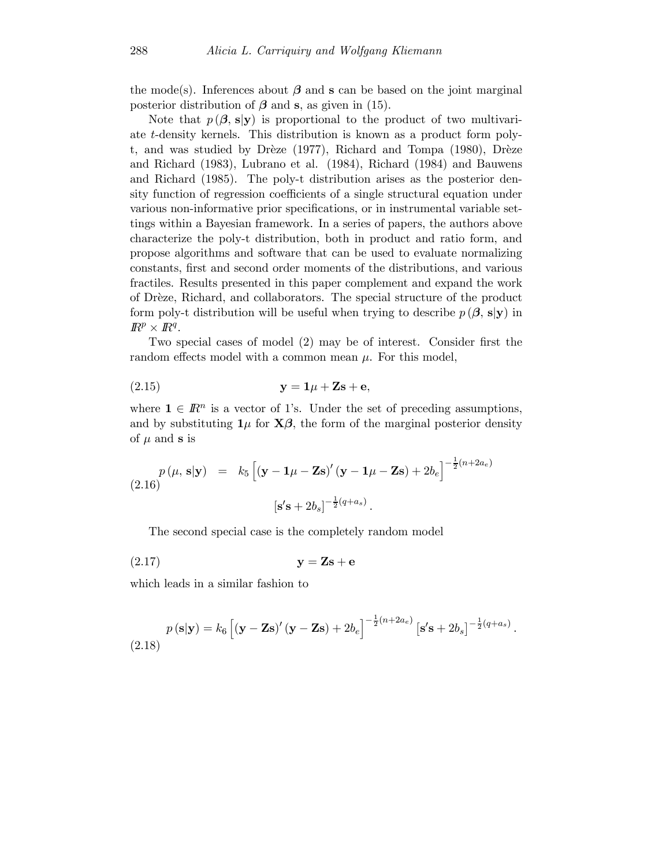the mode(s). Inferences about  $\beta$  and s can be based on the joint marginal posterior distribution of  $\beta$  and s, as given in (15).

Note that  $p(\beta, s|y)$  is proportional to the product of two multivariate t-density kernels. This distribution is known as a product form polyt, and was studied by Drèze (1977), Richard and Tompa (1980), Drèze and Richard (1983), Lubrano et al. (1984), Richard (1984) and Bauwens and Richard (1985). The poly-t distribution arises as the posterior density function of regression coefficients of a single structural equation under various non-informative prior specifications, or in instrumental variable settings within a Bayesian framework. In a series of papers, the authors above characterize the poly-t distribution, both in product and ratio form, and propose algorithms and software that can be used to evaluate normalizing constants, first and second order moments of the distributions, and various fractiles. Results presented in this paper complement and expand the work of Dr`eze, Richard, and collaborators. The special structure of the product form poly-t distribution will be useful when trying to describe  $p(\beta, s|y)$  in  $\mathbb{R}^p \times \mathbb{R}^q$ .

Two special cases of model (2) may be of interest. Consider first the random effects model with a common mean  $\mu$ . For this model,

$$
y = 1\mu + Zs + e,
$$

where  $\mathbf{1} \in \mathbb{R}^n$  is a vector of 1's. Under the set of preceding assumptions, and by substituting  $1\mu$  for  $\mathbf{X}\boldsymbol{\beta}$ , the form of the marginal posterior density of  $\mu$  and s is

$$
p(\mu, \mathbf{s}|\mathbf{y}) = k_5 \left[ (\mathbf{y} - \mathbf{1}\mu - \mathbf{Z}\mathbf{s})' (\mathbf{y} - \mathbf{1}\mu - \mathbf{Z}\mathbf{s}) + 2b_e \right]^{-\frac{1}{2}(n+2a_e)}
$$
  

$$
[\mathbf{s}'\mathbf{s} + 2b_s]^{-\frac{1}{2}(q+a_s)}.
$$

The second special case is the completely random model

$$
y = Zs + e
$$

which leads in a similar fashion to

$$
p(\mathbf{s}|\mathbf{y}) = k_6 \left[ (\mathbf{y} - \mathbf{Z}\mathbf{s})' (\mathbf{y} - \mathbf{Z}\mathbf{s}) + 2b_e \right]^{-\frac{1}{2}(n+2a_e)} \left[ \mathbf{s}'\mathbf{s} + 2b_s \right]^{-\frac{1}{2}(q+a_s)}
$$
\n(2.18)

.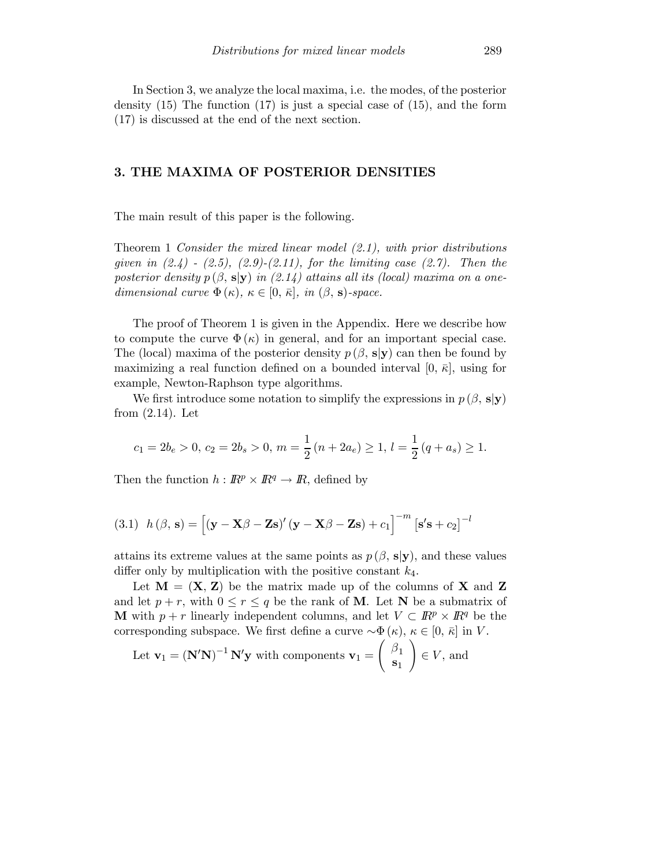In Section 3, we analyze the local maxima, i.e. the modes, of the posterior density  $(15)$  The function  $(17)$  is just a special case of  $(15)$ , and the form (17) is discussed at the end of the next section.

#### 3. THE MAXIMA OF POSTERIOR DENSITIES

The main result of this paper is the following.

Theorem 1 Consider the mixed linear model  $(2.1)$ , with prior distributions given in  $(2.4)$  -  $(2.5)$ ,  $(2.9)$ - $(2.11)$ , for the limiting case  $(2.7)$ . Then the posterior density  $p(\beta, s|y)$  in (2.14) attains all its (local) maxima on a onedimensional curve  $\Phi(\kappa)$ ,  $\kappa \in [0, \bar{\kappa}],$  in  $(\beta, s)$ -space.

The proof of Theorem 1 is given in the Appendix. Here we describe how to compute the curve  $\Phi(\kappa)$  in general, and for an important special case. The (local) maxima of the posterior density  $p(\beta, s|y)$  can then be found by maximizing a real function defined on a bounded interval [0,  $\bar{\kappa}$ ], using for example, Newton-Raphson type algorithms.

We first introduce some notation to simplify the expressions in  $p(\beta, s|y)$ from (2.14). Let

$$
c_1 = 2b_e > 0, c_2 = 2b_s > 0, m = \frac{1}{2}(n + 2a_e) \ge 1, l = \frac{1}{2}(q + a_s) \ge 1.
$$

Then the function  $h : \mathbb{R}^p \times \mathbb{R}^q \to \mathbb{R}$ , defined by

(3.1) 
$$
h(\beta, \mathbf{s}) = [(\mathbf{y} - \mathbf{X}\beta - \mathbf{Z}\mathbf{s})'(\mathbf{y} - \mathbf{X}\beta - \mathbf{Z}\mathbf{s}) + c_1]^{-m} [\mathbf{s}'\mathbf{s} + c_2]^{-l}
$$

attains its extreme values at the same points as  $p(\beta, s|y)$ , and these values differ only by multiplication with the positive constant  $k_4$ .

Let  $M = (X, Z)$  be the matrix made up of the columns of X and Z and let  $p + r$ , with  $0 \le r \le q$  be the rank of **M**. Let **N** be a submatrix of M with  $p + r$  linearly independent columns, and let  $V \subset \mathbb{R}^p \times \mathbb{R}^q$  be the corresponding subspace. We first define a curve  $\sim \Phi(\kappa)$ ,  $\kappa \in [0, \bar{\kappa}]$  in V.

Let 
$$
\mathbf{v}_1 = (\mathbf{N}'\mathbf{N})^{-1} \mathbf{N}'\mathbf{y}
$$
 with components  $\mathbf{v}_1 = \begin{pmatrix} \beta_1 \\ \mathbf{s}_1 \end{pmatrix} \in V$ , and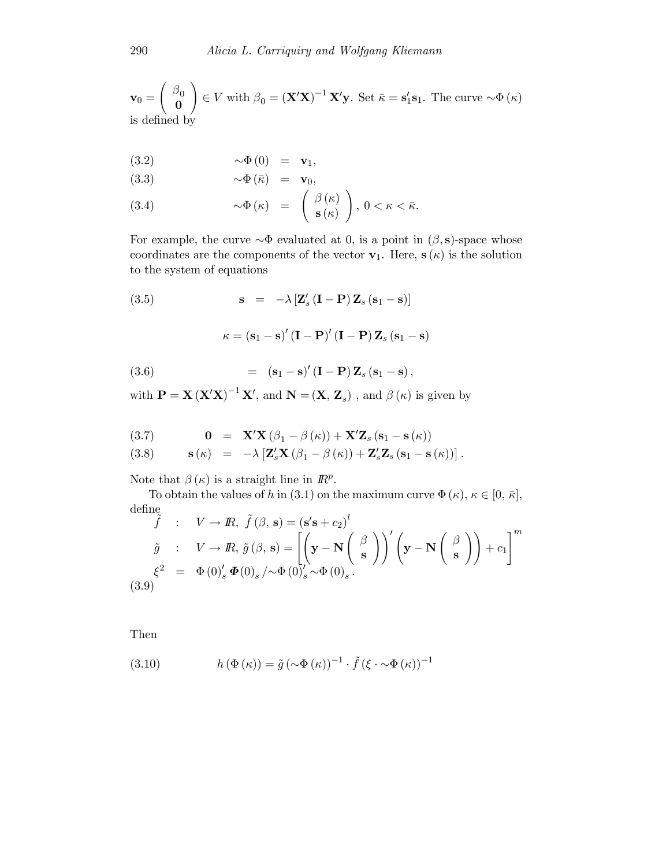$$
\mathbf{v}_0 = \begin{pmatrix} \beta_0 \\ \mathbf{0} \end{pmatrix} \in V \text{ with } \beta_0 = (\mathbf{X}'\mathbf{X})^{-1} \mathbf{X}'\mathbf{y}. \text{ Set } \bar{\kappa} = \mathbf{s}_1' \mathbf{s}_1. \text{ The curve } \sim \Phi(\kappa)
$$
 is defined by

$$
(3.2) \qquad \qquad \sim \Phi(0) = \mathbf{v}_1,
$$

$$
(3.3) \t\t \sim \Phi (\bar{\kappa}) = \mathbf{v}_0,
$$

(3.4) 
$$
\sim \Phi(\kappa) = \begin{pmatrix} \beta(\kappa) \\ \mathbf{s}(\kappa) \end{pmatrix}, 0 < \kappa < \bar{\kappa}.
$$

For example, the curve  $\sim \Phi$  evaluated at 0, is a point in  $(\beta, s)$ -space whose coordinates are the components of the vector  $v_1$ . Here,  $s(\kappa)$  is the solution to the system of equations

(3.5) 
$$
\mathbf{s} = -\lambda [\mathbf{Z}'_s (\mathbf{I} - \mathbf{P}) \mathbf{Z}_s (\mathbf{s}_1 - \mathbf{s})]
$$

$$
\kappa = (\mathbf{s}_1 - \mathbf{s})' (\mathbf{I} - \mathbf{P})' (\mathbf{I} - \mathbf{P}) \mathbf{Z}_s (\mathbf{s}_1 - \mathbf{s})
$$

$$
= (\mathbf{s}_1 - \mathbf{s})' (\mathbf{I} - \mathbf{P}) \mathbf{Z}_s (\mathbf{s}_1 - \mathbf{s}),
$$

with  $\mathbf{P} = \mathbf{X} (\mathbf{X}'\mathbf{X})^{-1} \mathbf{X}'$ , and  $\mathbf{N} = (\mathbf{X}, \mathbf{Z}_s)$ , and  $\beta (\kappa)$  is given by

(3.7) 
$$
\mathbf{0} = \mathbf{X}'\mathbf{X}(\beta_1 - \beta(\kappa)) + \mathbf{X}'\mathbf{Z}_s(\mathbf{s}_1 - \mathbf{s}(\kappa))
$$

(3.8) 
$$
\mathbf{s}(\kappa) = -\lambda \left[ \mathbf{Z}_s' \mathbf{X} \left( \beta_1 - \beta(\kappa) \right) + \mathbf{Z}_s' \mathbf{Z}_s \left( \mathbf{s}_1 - \mathbf{s}(\kappa) \right) \right].
$$

Note that  $\beta(\kappa)$  is a straight line in  $\mathbb{R}^p$ .

To obtain the values of h in (3.1) on the maximum curve  $\Phi(\kappa)$ ,  $\kappa \in [0, \bar{\kappa}],$ define

$$
\tilde{f} : V \to \mathbb{R}, \ \tilde{f}(\beta, \mathbf{s}) = (\mathbf{s}'\mathbf{s} + c_2)^l
$$
\n
$$
\tilde{g} : V \to \mathbb{R}, \ \tilde{g}(\beta, \mathbf{s}) = \left[ \left( \mathbf{y} - \mathbf{N} \begin{pmatrix} \beta \\ \mathbf{s} \end{pmatrix} \right)' \left( \mathbf{y} - \mathbf{N} \begin{pmatrix} \beta \\ \mathbf{s} \end{pmatrix} \right) + c_1 \right]^m
$$
\n
$$
\xi^2 = \Phi(0)'_s \Phi(0)_s / \Phi(0)'_s \sim \Phi(0)_s.
$$
\n(3.9)

Then

(3.10) 
$$
h(\Phi(\kappa)) = \tilde{g}(\sim \Phi(\kappa))^{-1} \cdot \tilde{f}(\xi \cdot \sim \Phi(\kappa))^{-1}
$$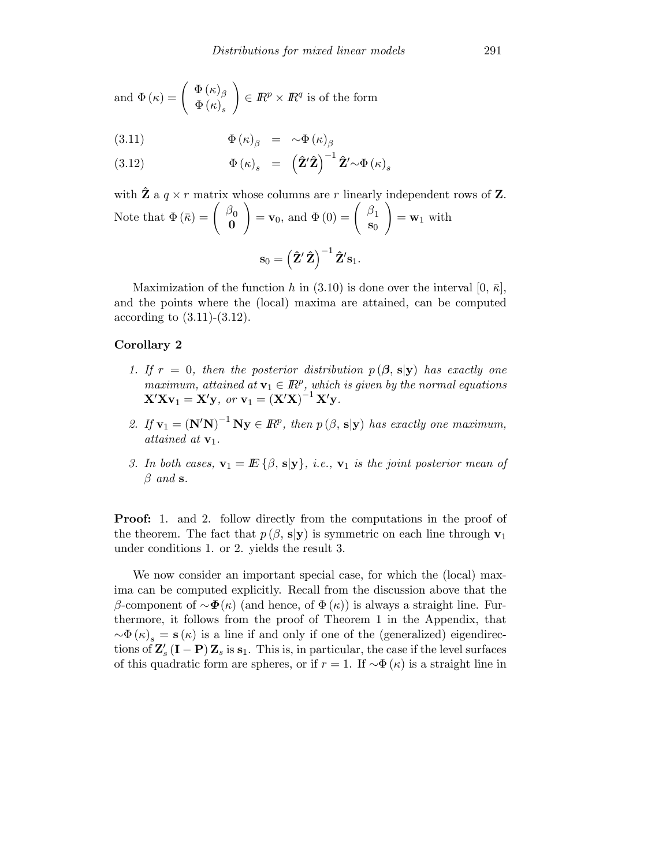and 
$$
\Phi(\kappa) = \begin{pmatrix} \Phi(\kappa) \\ \Phi(\kappa) \end{pmatrix} \in \mathbb{R}^p \times \mathbb{R}^q
$$
 is of the form

(3.11) 
$$
\Phi(\kappa)_{\beta} = \sim \Phi(\kappa)_{\beta}
$$

(3.12) 
$$
\Phi(\kappa)_{s} = (\hat{\mathbf{Z}}'\hat{\mathbf{Z}})^{-1}\hat{\mathbf{Z}}'\sim\Phi(\kappa)_{s}
$$

with 
$$
\hat{\mathbf{Z}}
$$
 a  $q \times r$  matrix whose columns are  $r$  linearly independent rows of  $\mathbf{Z}$ .  
Note that  $\Phi(\bar{\kappa}) = \begin{pmatrix} \beta_0 \\ \mathbf{0} \end{pmatrix} = \mathbf{v}_0$ , and  $\Phi(0) = \begin{pmatrix} \beta_1 \\ \mathbf{s}_0 \end{pmatrix} = \mathbf{w}_1$  with  

$$
\mathbf{s}_0 = (\hat{\mathbf{Z}}' \hat{\mathbf{Z}})^{-1} \hat{\mathbf{Z}}' \mathbf{s}_1.
$$

Maximization of the function h in (3.10) is done over the interval [0,  $\bar{\kappa}$ ], and the points where the (local) maxima are attained, can be computed according to (3.11)-(3.12).

#### Corollary 2

- 1. If  $r = 0$ , then the posterior distribution  $p(\beta, s|y)$  has exactly one maximum, attained at  $\mathbf{v}_1 \in \mathbb{R}^p$ , which is given by the normal equations  $\mathbf{X}'\mathbf{X}\mathbf{v}_1 = \mathbf{X}'\mathbf{y}$ , or  $\mathbf{v}_1 = (\mathbf{X}'\mathbf{X})^{-1}\mathbf{X}'\mathbf{y}$ .
- 2. If  $\mathbf{v}_1 = (\mathbf{N}'\mathbf{N})^{-1}\mathbf{N}\mathbf{y} \in \mathbb{R}^p$ , then  $p(\beta, \mathbf{s}|\mathbf{y})$  has exactly one maximum, attained at  $\mathbf{v}_1$ .
- 3. In both cases,  $\mathbf{v}_1 = \mathbf{E} \{\beta, \mathbf{s} | \mathbf{y}\}\text{, i.e., } \mathbf{v}_1$  is the joint posterior mean of  $\beta$  and s.

**Proof:** 1. and 2. follow directly from the computations in the proof of the theorem. The fact that  $p(\beta, s|y)$  is symmetric on each line through  $v_1$ under conditions 1. or 2. yields the result 3.

We now consider an important special case, for which the (local) maxima can be computed explicitly. Recall from the discussion above that the β-component of  $\sim$   $\Phi(\kappa)$  (and hence, of  $\Phi(\kappa)$ ) is always a straight line. Furthermore, it follows from the proof of Theorem 1 in the Appendix, that  $\sim \Phi(\kappa)$ <sub>s</sub> = **s**( $\kappa$ ) is a line if and only if one of the (generalized) eigendirections of  $\mathbf{Z}'_s$  (**I** – **P**)  $\mathbf{Z}_s$  is  $\mathbf{s}_1$ . This is, in particular, the case if the level surfaces of this quadratic form are spheres, or if  $r = 1$ . If  $\sim \Phi(\kappa)$  is a straight line in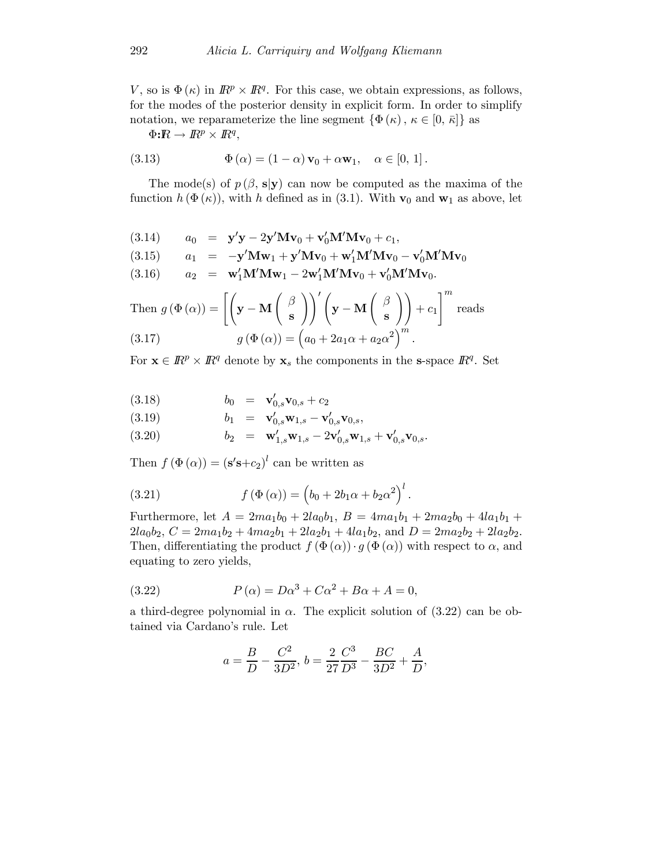V, so is  $\Phi(\kappa)$  in  $\mathbb{R}^p \times \mathbb{R}^q$ . For this case, we obtain expressions, as follows, for the modes of the posterior density in explicit form. In order to simplify notation, we reparameterize the line segment  $\{\Phi(\kappa), \kappa \in [0, \bar{\kappa}]\}\$ as

 $\Phi{:}\mathbb{R} \to \mathbb{R}^p \times \mathbb{R}^q,$ 

(3.13) 
$$
\Phi(\alpha) = (1 - \alpha) \mathbf{v}_0 + \alpha \mathbf{w}_1, \quad \alpha \in [0, 1].
$$

The mode(s) of  $p(\beta, s|y)$  can now be computed as the maxima of the function  $h(\Phi(\kappa))$ , with h defined as in (3.1). With  $\mathbf{v}_0$  and  $\mathbf{w}_1$  as above, let

(3.14) 
$$
a_0 = \mathbf{y}'\mathbf{y} - 2\mathbf{y}'\mathbf{M}\mathbf{v}_0 + \mathbf{v}'_0\mathbf{M}'\mathbf{M}\mathbf{v}_0 + c_1,
$$

$$
(3.15) \qquad a_1 = -\mathbf{y}'\mathbf{M}\mathbf{w}_1 + \mathbf{y}'\mathbf{M}\mathbf{v}_0 + \mathbf{w}'_1\mathbf{M}'\mathbf{M}\mathbf{v}_0 - \mathbf{v}'_0\mathbf{M}'\mathbf{M}\mathbf{v}_0
$$

(3.16)  $a_2 = \mathbf{w}_1' \mathbf{M}' \mathbf{M} \mathbf{w}_1 - 2 \mathbf{w}_1' \mathbf{M}' \mathbf{M} \mathbf{v}_0 + \mathbf{v}_0' \mathbf{M}' \mathbf{M} \mathbf{v}_0.$ 

Then 
$$
g(\Phi(\alpha)) = \left[ \left( \mathbf{y} - \mathbf{M} \begin{pmatrix} \beta \\ \mathbf{s} \end{pmatrix} \right)' \left( \mathbf{y} - \mathbf{M} \begin{pmatrix} \beta \\ \mathbf{s} \end{pmatrix} \right) + c_1 \right]^m
$$
 reads  
\n(3.17) 
$$
g(\Phi(\alpha)) = \left( a_0 + 2a_1\alpha + a_2\alpha^2 \right)^m.
$$

For  $\mathbf{x} \in \mathbb{R}^p \times \mathbb{R}^q$  denote by  $\mathbf{x}_s$  the components in the s-space  $\mathbb{R}^q$ . Set

(3.18) 
$$
b_0 = \mathbf{v}'_{0,s} \mathbf{v}_{0,s} + c_2
$$

(3.19) 
$$
b_1 = \mathbf{v}'_{0,s} \mathbf{w}_{1,s} - \mathbf{v}'_{0,s} \mathbf{v}_{0,s},
$$

(3.20) 
$$
b_2 = \mathbf{w}'_{1,s} \mathbf{w}_{1,s} - 2 \mathbf{v}'_{0,s} \mathbf{w}_{1,s} + \mathbf{v}'_{0,s} \mathbf{v}_{0,s}.
$$

Then  $f(\Phi(\alpha)) = (\mathbf{s}'\mathbf{s}+c_2)^l$  can be written as

(3.21) 
$$
f(\Phi(\alpha)) = (b_0 + 2b_1\alpha + b_2\alpha^2)^l.
$$

Furthermore, let  $A = 2ma_1b_0 + 2la_0b_1$ ,  $B = 4ma_1b_1 + 2ma_2b_0 + 4la_1b_1 +$  $2la_0b_2$ ,  $C = 2ma_1b_2 + 4ma_2b_1 + 2la_2b_1 + 4la_1b_2$ , and  $D = 2ma_2b_2 + 2la_2b_2$ . Then, differentiating the product  $f(\Phi(\alpha)) \cdot g(\Phi(\alpha))$  with respect to  $\alpha$ , and equating to zero yields,

(3.22) 
$$
P(\alpha) = D\alpha^3 + C\alpha^2 + B\alpha + A = 0,
$$

a third-degree polynomial in  $\alpha$ . The explicit solution of (3.22) can be obtained via Cardano's rule. Let

$$
a = \frac{B}{D} - \frac{C^2}{3D^2}, b = \frac{2}{27} \frac{C^3}{D^3} - \frac{BC}{3D^2} + \frac{A}{D},
$$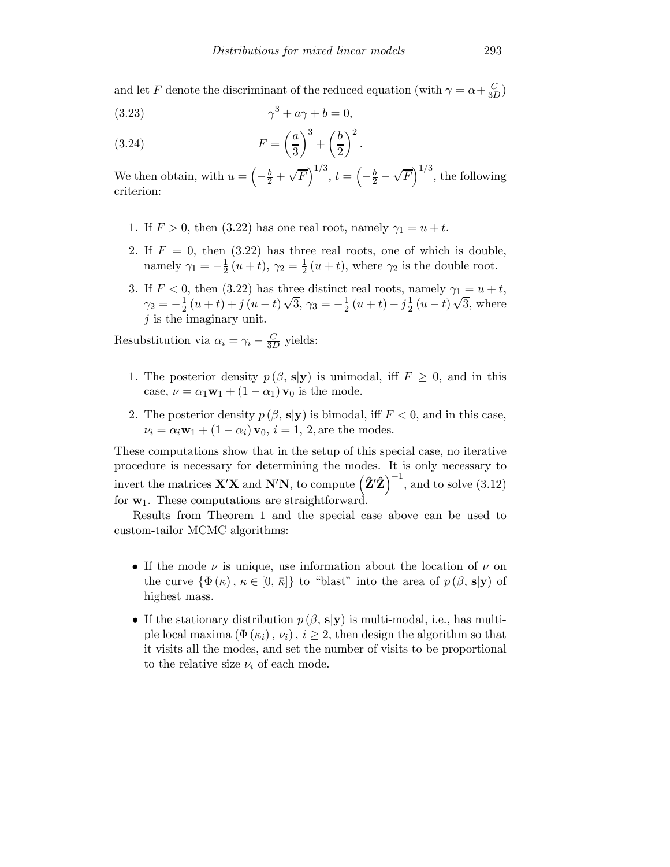and let F denote the discriminant of the reduced equation (with  $\gamma = \alpha + \frac{C}{3D}$ )

$$
(3.23)\qquad \qquad \gamma^3 + a\gamma + b = 0,
$$

(3.24) 
$$
F = \left(\frac{a}{3}\right)^3 + \left(\frac{b}{2}\right)^2.
$$

We then obtain, with  $u = \left(-\frac{b}{2} + \sqrt{F}\right)^{1/3}$ ,  $t = \left(-\frac{b}{2} - \sqrt{F}\right)^{1/3}$ , the following criterion:

- 1. If  $F > 0$ , then (3.22) has one real root, namely  $\gamma_1 = u + t$ .
- 2. If  $F = 0$ , then (3.22) has three real roots, one of which is double, namely  $\gamma_1 = -\frac{1}{2}(u+t)$ ,  $\gamma_2 = \frac{1}{2}(u+t)$ , where  $\gamma_2$  is the double root.
- 3. If  $F < 0$ , then (3.22) has three distinct real roots, namely  $\gamma_1 = u + t$ ,  $\gamma_2 = -\frac{1}{2}(u+t) + j(u-t)\sqrt{3}, \gamma_3 = -\frac{1}{2}(u+t) - j\frac{1}{2}(u-t)\sqrt{3}, \text{ where}$  $j$  is the imaginary unit.

Resubstitution via  $\alpha_i = \gamma_i - \frac{C}{3D}$  yields:

- 1. The posterior density  $p(\beta, s|y)$  is unimodal, iff  $F \geq 0$ , and in this case,  $\nu = \alpha_1 \mathbf{w}_1 + (1 - \alpha_1) \mathbf{v}_0$  is the mode.
- 2. The posterior density  $p(\beta, s|y)$  is bimodal, iff  $F < 0$ , and in this case,  $\nu_i = \alpha_i \mathbf{w}_1 + (1 - \alpha_i) \mathbf{v}_0, i = 1, 2$ , are the modes.

These computations show that in the setup of this special case, no iterative procedure is necessary for determining the modes. It is only necessary to invert the matrices  $\mathbf{X}'\mathbf{X}$  and  $\mathbf{N}'\mathbf{N}$ , to compute  $\left(\hat{\mathbf{Z}}'\hat{\mathbf{Z}}\right)^{-1}$ , and to solve (3.12) for  $w_1$ . These computations are straightforward.

Results from Theorem 1 and the special case above can be used to custom-tailor MCMC algorithms:

- If the mode  $\nu$  is unique, use information about the location of  $\nu$  on the curve  $\{\Phi(\kappa), \kappa \in [0, \bar{\kappa}]\}\$ to "blast" into the area of  $p(\beta, s|y)$  of highest mass.
- If the stationary distribution  $p(\beta, s|y)$  is multi-modal, i.e., has multiple local maxima  $(\Phi(\kappa_i), \nu_i), i \geq 2$ , then design the algorithm so that it visits all the modes, and set the number of visits to be proportional to the relative size  $\nu_i$  of each mode.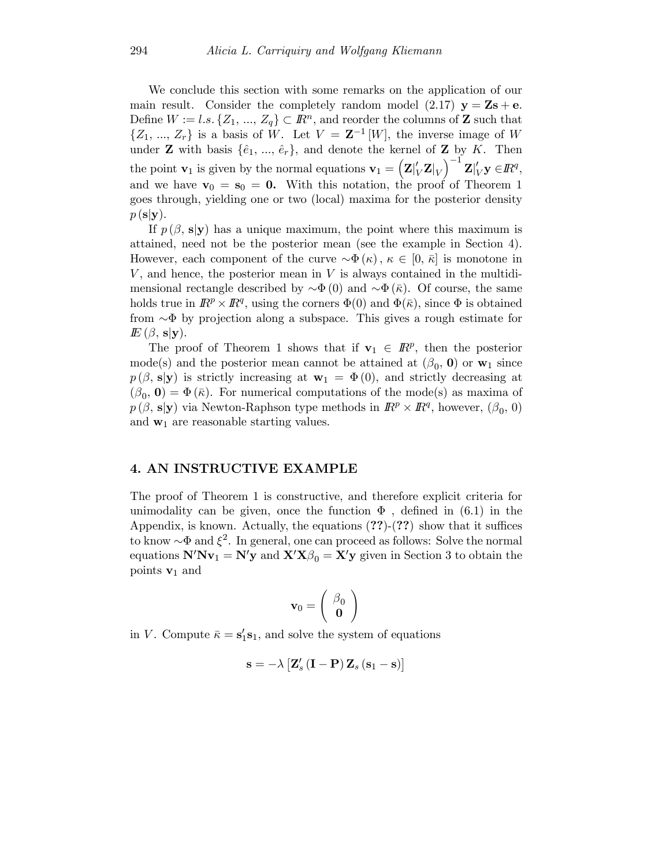We conclude this section with some remarks on the application of our main result. Consider the completely random model  $(2.17)$   $y = Zs + e$ . Define  $W := l.s. \{Z_1, ..., Z_q\} \subset \mathbb{R}^n$ , and reorder the columns of **Z** such that  $\{Z_1, ..., Z_r\}$  is a basis of W. Let  $V = \mathbf{Z}^{-1}[W]$ , the inverse image of W under **Z** with basis  $\{\hat{e}_1, ..., \hat{e}_r\}$ , and denote the kernel of **Z** by K. Then the point  $\mathbf{v}_1$  is given by the normal equations  $\mathbf{v}_1 = (\mathbf{Z}|_V^{\prime} \mathbf{Z}|_V)$  $\Big)^{-1} \, \mathbf{Z} \vert_V' \mathbf{y} \in I\!\!R^q,$ and we have  $\mathbf{v}_0 = \mathbf{s}_0 = \mathbf{0}$ . With this notation, the proof of Theorem 1 goes through, yielding one or two (local) maxima for the posterior density  $p(\mathbf{s}|\mathbf{y}).$ 

If  $p(\beta, s|y)$  has a unique maximum, the point where this maximum is attained, need not be the posterior mean (see the example in Section 4). However, each component of the curve  $\sim \Phi(\kappa)$ ,  $\kappa \in [0, \bar{\kappa}]$  is monotone in V, and hence, the posterior mean in V is always contained in the multidimensional rectangle described by  $\sim \Phi(0)$  and  $\sim \Phi(\bar{\kappa})$ . Of course, the same holds true in  $\mathbb{R}^p \times \mathbb{R}^q$ , using the corners  $\Phi(0)$  and  $\Phi(\bar{\kappa})$ , since  $\Phi$  is obtained from ∼Φ by projection along a subspace. This gives a rough estimate for  $E(\beta, s|y)$ .

The proof of Theorem 1 shows that if  $\mathbf{v}_1 \in \mathbb{R}^p$ , then the posterior mode(s) and the posterior mean cannot be attained at  $(\beta_0, 0)$  or  $w_1$  since  $p(\beta, s|y)$  is strictly increasing at  $w_1 = \Phi(0)$ , and strictly decreasing at  $(\beta_0, 0) = \Phi(\bar{\kappa})$ . For numerical computations of the mode(s) as maxima of  $p(\beta, s|y)$  via Newton-Raphson type methods in  $\mathbb{R}^p \times \mathbb{R}^q$ , however,  $(\beta_0, 0)$ and  $w_1$  are reasonable starting values.

#### 4. AN INSTRUCTIVE EXAMPLE

The proof of Theorem 1 is constructive, and therefore explicit criteria for unimodality can be given, once the function  $\Phi$ , defined in (6.1) in the Appendix, is known. Actually, the equations  $(??)-(??)$  show that it suffices to know  $\sim \Phi$  and  $\xi^2$ . In general, one can proceed as follows: Solve the normal equations  $N'Nv_1 = N'y$  and  $X'X\beta_0 = X'y$  given in Section 3 to obtain the points  $v_1$  and

$$
\mathbf{v}_0 = \left(\begin{array}{c} \beta_0 \\ \mathbf{0} \end{array}\right)
$$

in V. Compute  $\bar{\kappa} = s_1's_1$ , and solve the system of equations

$$
\mathbf{s} = -\lambda \left[ \mathbf{Z}_s' \left( \mathbf{I} - \mathbf{P} \right) \mathbf{Z}_s \left( \mathbf{s}_1 - \mathbf{s} \right) \right]
$$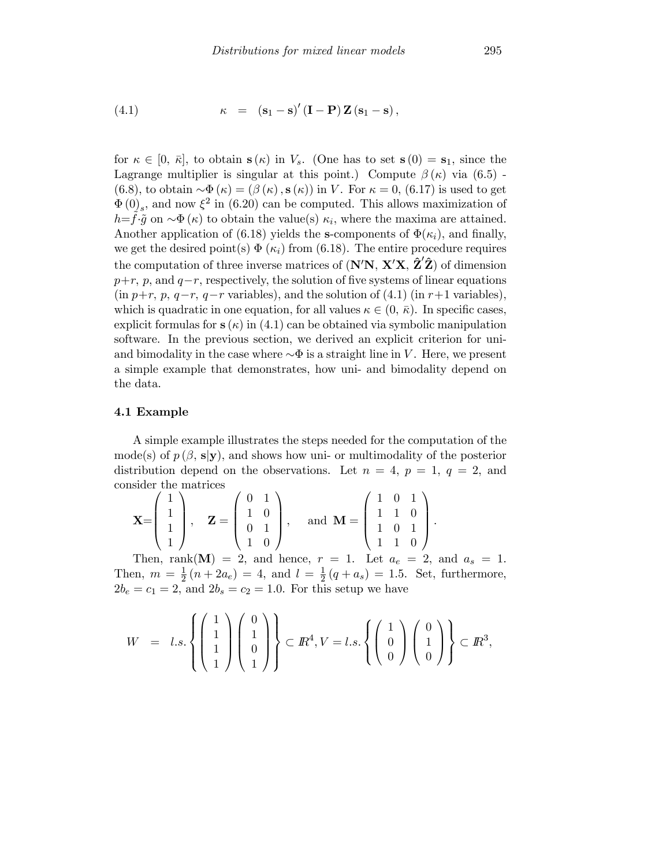(4.1) 
$$
\kappa = (\mathbf{s}_1 - \mathbf{s})' (\mathbf{I} - \mathbf{P}) \mathbf{Z} (\mathbf{s}_1 - \mathbf{s}),
$$

for  $\kappa \in [0, \bar{\kappa}],$  to obtain  $s(\kappa)$  in  $V_s$ . (One has to set  $s(0) = s_1$ , since the Lagrange multiplier is singular at this point.) Compute  $\beta(\kappa)$  via (6.5) -(6.8), to obtain  $\sim \Phi(\kappa)=(\beta(\kappa), \mathbf{s}(\kappa))$  in V. For  $\kappa=0$ , (6.17) is used to get  $\Phi(0)$ <sub>s</sub>, and now  $\xi^2$  in (6.20) can be computed. This allows maximization of  $h = \hat{f} \cdot \tilde{g}$  on  $\sim \Phi(\kappa)$  to obtain the value(s)  $\kappa_i$ , where the maxima are attained. Another application of (6.18) yields the s-components of  $\Phi(\kappa_i)$ , and finally, we get the desired point(s)  $\Phi$  ( $\kappa_i$ ) from (6.18). The entire procedure requires the computation of three inverse matrices of  $(N'N, X'X, \hat{Z'}\hat{Z})$  of dimension  $p+r$ , p, and  $q-r$ , respectively, the solution of five systems of linear equations  $(in p+r, p, q-r, q-r \text{ variables}),$  and the solution of  $(4.1)$   $(in r+1 \text{ variables}),$ which is quadratic in one equation, for all values  $\kappa \in (0, \bar{\kappa})$ . In specific cases, explicit formulas for  $s(\kappa)$  in (4.1) can be obtained via symbolic manipulation software. In the previous section, we derived an explicit criterion for uniand bimodality in the case where  $\sim$  $\Phi$  is a straight line in V. Here, we present a simple example that demonstrates, how uni- and bimodality depend on the data.

#### 4.1 Example

A simple example illustrates the steps needed for the computation of the mode(s) of  $p(\beta, s|y)$ , and shows how uni- or multimodality of the posterior distribution depend on the observations. Let  $n = 4$ ,  $p = 1$ ,  $q = 2$ , and consider the matrices

|    | $X = \begin{pmatrix} 1 \\ 1 \end{pmatrix}$<br>$\binom{1}{1}$ |            | $Z = \frac{1}{2}$ | (0,1)<br>$\begin{bmatrix} 1 & 1 & 0 \\ 0 & 1 & 1 \end{bmatrix}$ ,<br>$\begin{pmatrix} 1 & 0 \end{pmatrix}$ |  | and $M = \vert$ | $(1 \ 0 \ 1)$<br>$\begin{pmatrix} 1 & 1 & 0 \end{pmatrix}$ | $\begin{bmatrix} 1 & 1 \\ 1 & 0 \end{bmatrix}$ . |  |
|----|--------------------------------------------------------------|------------|-------------------|------------------------------------------------------------------------------------------------------------|--|-----------------|------------------------------------------------------------|--------------------------------------------------|--|
|    |                                                              |            |                   |                                                                                                            |  |                 |                                                            |                                                  |  |
| mı |                                                              | $\sqrt{N}$ |                   |                                                                                                            |  |                 |                                                            |                                                  |  |

Then, rank(M) = 2, and hence,  $r = 1$ . Let  $a_e = 2$ , and  $a_s = 1$ . Then,  $m = \frac{1}{2}(n + 2a_e) = 4$ , and  $l = \frac{1}{2}(q + a_s) = 1.5$ . Set, furthermore,  $2b_e = c_1 = 2$ , and  $2b_s = c_2 = 1.0$ . For this setup we have

$$
W = l.s.\left\{ \begin{pmatrix} 1 \\ 1 \\ 1 \\ 1 \end{pmatrix} \begin{pmatrix} 0 \\ 1 \\ 0 \\ 1 \end{pmatrix} \right\} \subset \mathbb{R}^{4}, V = l.s.\left\{ \begin{pmatrix} 1 \\ 0 \\ 0 \end{pmatrix} \begin{pmatrix} 0 \\ 1 \\ 0 \end{pmatrix} \right\} \subset \mathbb{R}^{3},
$$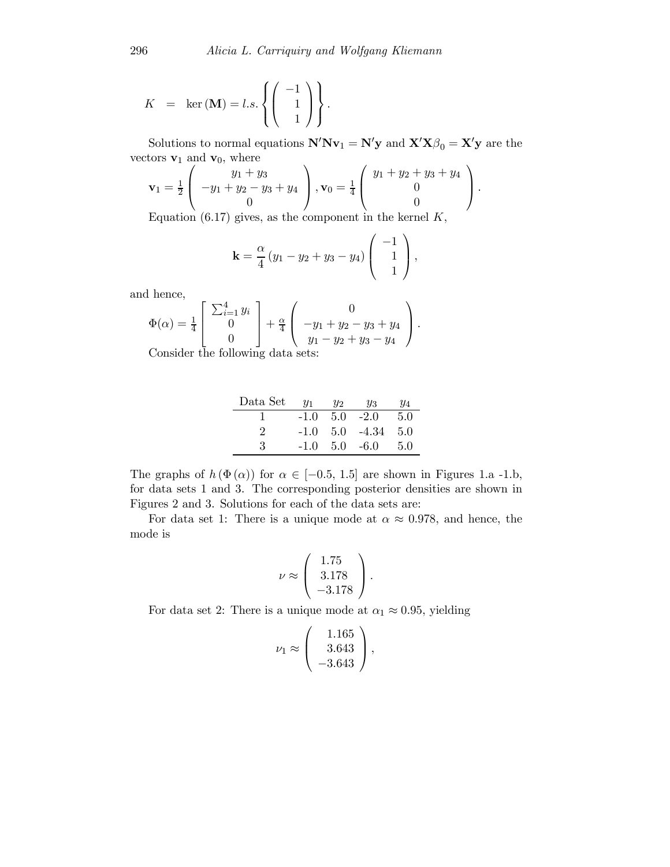$$
K = \ker(\mathbf{M}) = l.s.\left\{ \begin{pmatrix} -1 \\ 1 \\ 1 \end{pmatrix} \right\}.
$$

Solutions to normal equations  $N'Nv_1 = N'y$  and  $X'X\beta_0 = X'y$  are the vectors **v**<sub>1</sub> and **v**<sub>0</sub>, where

$$
\mathbf{v}_1 = \frac{1}{2} \begin{pmatrix} y_1 + y_3 \\ -y_1 + y_2 - y_3 + y_4 \\ 0 \end{pmatrix}, \mathbf{v}_0 = \frac{1}{4} \begin{pmatrix} y_1 + y_2 + y_3 + y_4 \\ 0 \\ 0 \end{pmatrix}.
$$

Equation  $(6.17)$  gives, as the component in the kernel  $K$ ,

$$
\mathbf{k} = \frac{\alpha}{4} (y_1 - y_2 + y_3 - y_4) \begin{pmatrix} -1 \\ 1 \\ 1 \end{pmatrix},
$$

and hence,

$$
\Phi(\alpha) = \frac{1}{4} \begin{bmatrix} \sum_{i=1}^{4} y_i \\ 0 \\ 0 \end{bmatrix} + \frac{\alpha}{4} \begin{pmatrix} 0 \\ -y_1 + y_2 - y_3 + y_4 \\ y_1 - y_2 + y_3 - y_4 \end{pmatrix}.
$$

Consider the following data sets:

| Data Set | $y_1$  | $y_2$ | У3          | У4  |
|----------|--------|-------|-------------|-----|
|          | $-1.0$ | 5.0   | $-2.0$      | 5.0 |
|          | $-1.0$ |       | $5.0 -4.34$ | 5.0 |
| З        | $-1.0$ |       | $5.0 - 6.0$ | 5.0 |

The graphs of  $h(\Phi(\alpha))$  for  $\alpha \in [-0.5, 1.5]$  are shown in Figures 1.a -1.b, for data sets 1 and 3. The corresponding posterior densities are shown in Figures 2 and 3. Solutions for each of the data sets are:

For data set 1: There is a unique mode at  $\alpha \approx 0.978$ , and hence, the mode is

$$
\nu \approx \left(\begin{array}{c} 1.75 \\ 3.178 \\ -3.178 \end{array}\right).
$$

For data set 2: There is a unique mode at  $\alpha_1 \approx 0.95$ , yielding

$$
\nu_1 \approx \left(\begin{array}{c} 1.165\\3.643\\-3.643\end{array}\right),
$$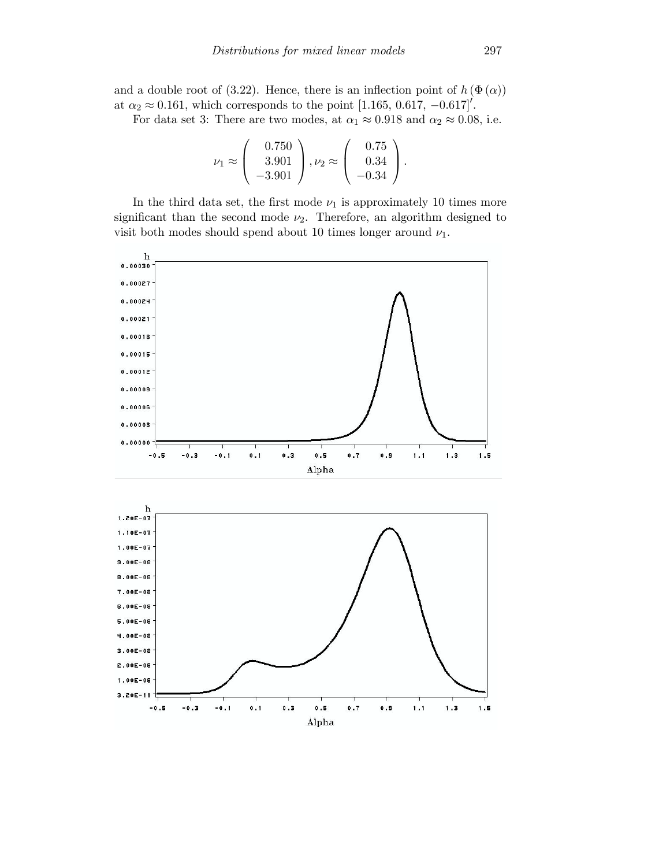and a double root of (3.22). Hence, there is an inflection point of  $h(\Phi(\alpha))$ at  $\alpha_2 \approx 0.161$ , which corresponds to the point [1.165, 0.617, -0.617]'.

For data set 3: There are two modes, at  $\alpha_1 \approx 0.918$  and  $\alpha_2 \approx 0.08$ , i.e.

$$
\nu_1 \approx \left(\begin{array}{c} 0.750 \\ 3.901 \\ -3.901 \end{array}\right), \nu_2 \approx \left(\begin{array}{c} 0.75 \\ 0.34 \\ -0.34 \end{array}\right).
$$

In the third data set, the first mode  $\nu_1$  is approximately 10 times more significant than the second mode  $\nu_2$ . Therefore, an algorithm designed to visit both modes should spend about 10 times longer around  $\nu_1$ .



 $\pmb{0}$  .  $\pmb{5}$ Alpha

 $0.7$ 

 $\pmb{0}$  .  $\pmb{9}$ 

 $1.1$ 

 $1.3$ 

 $\mathbf 1$  .  $\mathbf 5$ 

3.20E-11<sup>-</sup>

 $-0.5$ 

 $-0.3$ 

 $-0.1$ 

 $0.1$ 

 $\mathbf{0}$  .  $\mathbf{3}$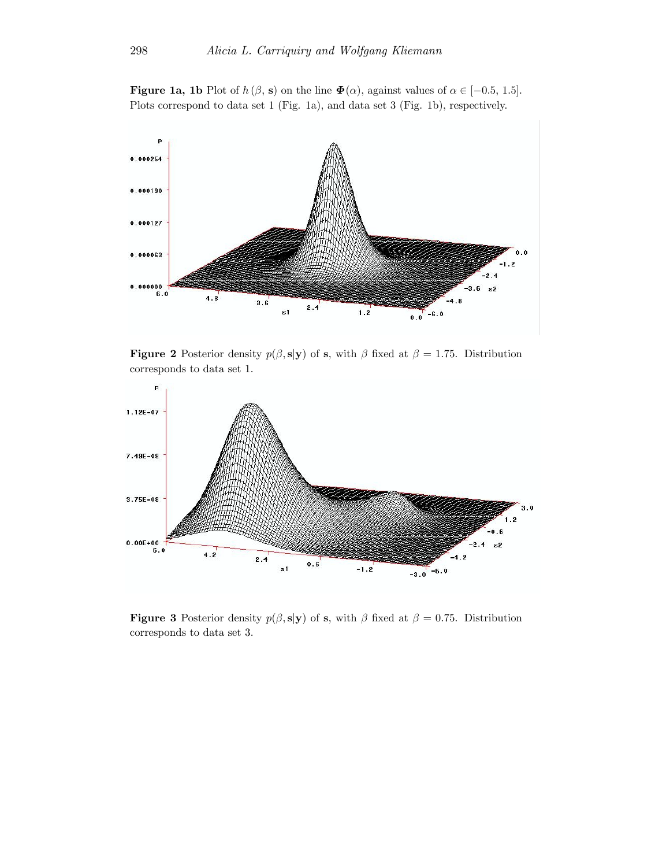**Figure 1a, 1b** Plot of  $h(\beta, \mathbf{s})$  on the line  $\Phi(\alpha)$ , against values of  $\alpha \in [-0.5, 1.5]$ . Plots correspond to data set 1 (Fig. 1a), and data set 3 (Fig. 1b), respectively.



**Figure 2** Posterior density  $p(\beta, s|y)$  of s, with  $\beta$  fixed at  $\beta = 1.75$ . Distribution corresponds to data set 1.



**Figure 3** Posterior density  $p(\beta, s|y)$  of s, with  $\beta$  fixed at  $\beta = 0.75$ . Distribution corresponds to data set 3.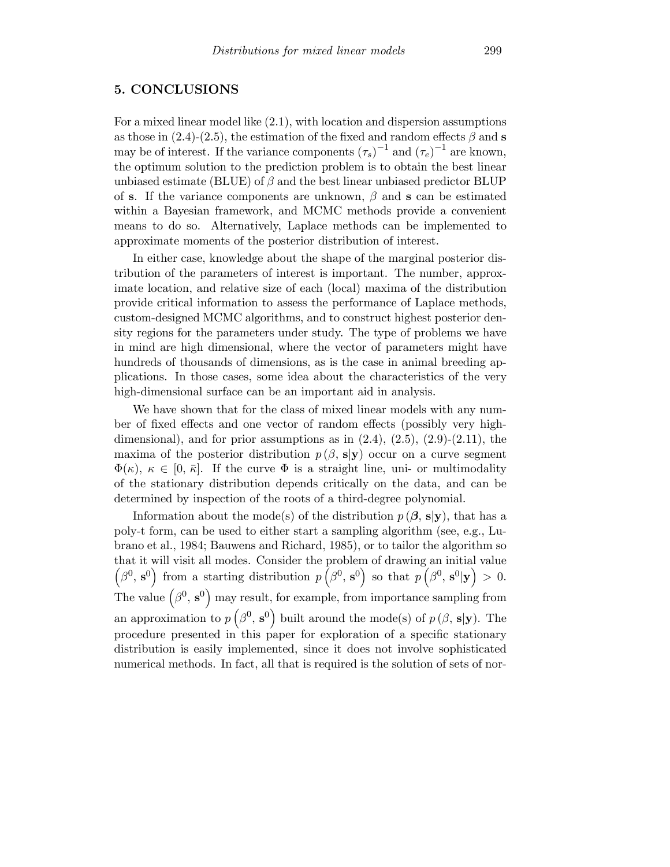#### 5. CONCLUSIONS

For a mixed linear model like (2.1), with location and dispersion assumptions as those in (2.4)-(2.5), the estimation of the fixed and random effects  $\beta$  and s may be of interest. If the variance components  $(\tau_s)^{-1}$  and  $(\tau_e)^{-1}$  are known, the optimum solution to the prediction problem is to obtain the best linear unbiased estimate (BLUE) of  $\beta$  and the best linear unbiased predictor BLUP of s. If the variance components are unknown,  $\beta$  and s can be estimated within a Bayesian framework, and MCMC methods provide a convenient means to do so. Alternatively, Laplace methods can be implemented to approximate moments of the posterior distribution of interest.

In either case, knowledge about the shape of the marginal posterior distribution of the parameters of interest is important. The number, approximate location, and relative size of each (local) maxima of the distribution provide critical information to assess the performance of Laplace methods, custom-designed MCMC algorithms, and to construct highest posterior density regions for the parameters under study. The type of problems we have in mind are high dimensional, where the vector of parameters might have hundreds of thousands of dimensions, as is the case in animal breeding applications. In those cases, some idea about the characteristics of the very high-dimensional surface can be an important aid in analysis.

We have shown that for the class of mixed linear models with any number of fixed effects and one vector of random effects (possibly very highdimensional), and for prior assumptions as in  $(2.4)$ ,  $(2.5)$ ,  $(2.9)$ - $(2.11)$ , the maxima of the posterior distribution  $p(\beta, s|y)$  occur on a curve segment  $\Phi(\kappa)$ ,  $\kappa \in [0, \bar{\kappa}]$ . If the curve  $\Phi$  is a straight line, uni- or multimodality of the stationary distribution depends critically on the data, and can be determined by inspection of the roots of a third-degree polynomial.

Information about the mode(s) of the distribution  $p(\beta, s|y)$ , that has a poly-t form, can be used to either start a sampling algorithm (see, e.g., Lubrano et al., 1984; Bauwens and Richard, 1985), or to tailor the algorithm so that it will visit all modes. Consider the problem of drawing an initial value  $(\beta^0, s^0)$  from a starting distribution  $p\left(\beta^0, s^0\right)$  so that  $p\left(\beta^0, s^0 | \mathbf{y}\right) > 0$ . The value  $(\beta^0, s^0)$  may result, for example, from importance sampling from an approximation to  $p(\beta^0, s^0)$  built around the mode(s) of  $p(\beta, s|y)$ . The procedure presented in this paper for exploration of a specific stationary distribution is easily implemented, since it does not involve sophisticated numerical methods. In fact, all that is required is the solution of sets of nor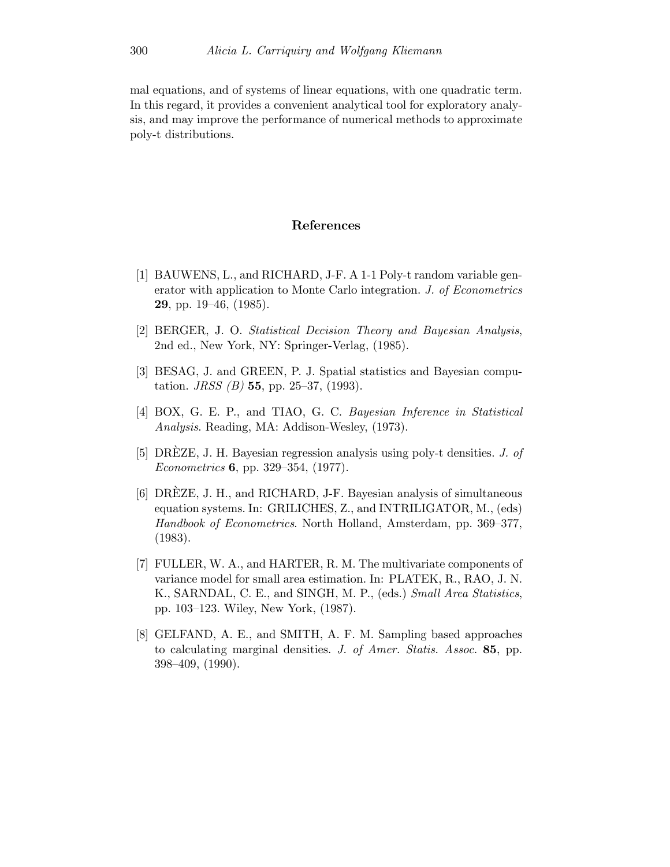mal equations, and of systems of linear equations, with one quadratic term. In this regard, it provides a convenient analytical tool for exploratory analysis, and may improve the performance of numerical methods to approximate poly-t distributions.

#### References

- [1] BAUWENS, L., and RICHARD, J-F. A 1-1 Poly-t random variable generator with application to Monte Carlo integration. J. of Econometrics 29, pp. 19—46, (1985).
- [2] BERGER, J. O. Statistical Decision Theory and Bayesian Analysis, 2nd ed., New York, NY: Springer-Verlag, (1985).
- [3] BESAG, J. and GREEN, P. J. Spatial statistics and Bayesian computation. *JRSS* (*B*) **55**, pp. 25–37, (1993).
- [4] BOX, G. E. P., and TIAO, G. C. Bayesian Inference in Statistical Analysis. Reading, MA: Addison-Wesley, (1973).
- [5] DREZE, J. H. Bayesian regression analysis using poly-t densities.  $J.$  of Econometrics 6, pp. 329—354, (1977).
- [6] DREZE, J. H., and RICHARD, J-F. Bayesian analysis of simultaneous ` equation systems. In: GRILICHES, Z., and INTRILIGATOR, M., (eds) Handbook of Econometrics. North Holland, Amsterdam, pp. 369—377, (1983).
- [7] FULLER, W. A., and HARTER, R. M. The multivariate components of variance model for small area estimation. In: PLATEK, R., RAO, J. N. K., SARNDAL, C. E., and SINGH, M. P., (eds.) Small Area Statistics, pp. 103—123. Wiley, New York, (1987).
- [8] GELFAND, A. E., and SMITH, A. F. M. Sampling based approaches to calculating marginal densities. J. of Amer. Statis. Assoc. 85, pp. 398—409, (1990).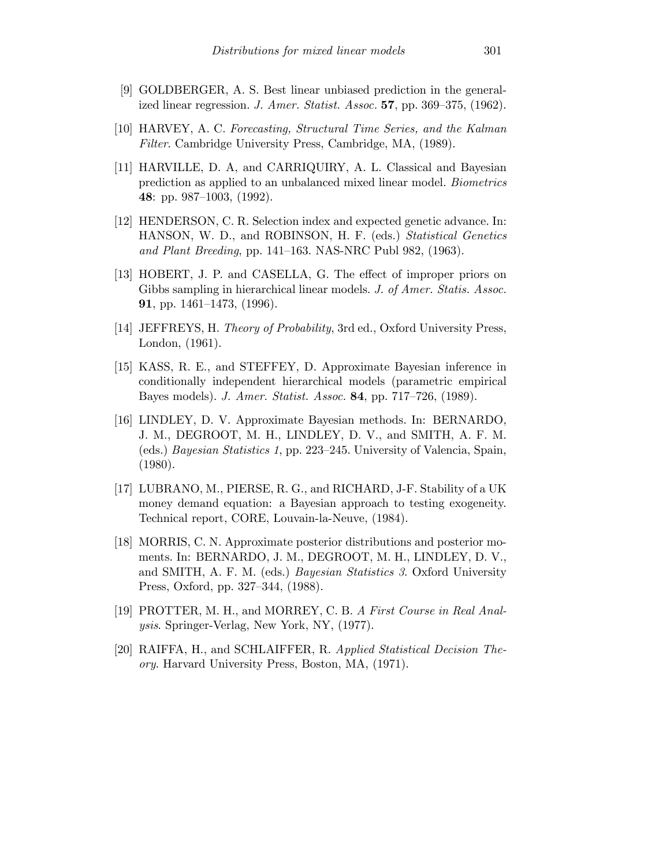- [9] GOLDBERGER, A. S. Best linear unbiased prediction in the generalized linear regression. J. Amer. Statist. Assoc. 57, pp. 369—375, (1962).
- [10] HARVEY, A. C. Forecasting, Structural Time Series, and the Kalman Filter. Cambridge University Press, Cambridge, MA, (1989).
- [11] HARVILLE, D. A, and CARRIQUIRY, A. L. Classical and Bayesian prediction as applied to an unbalanced mixed linear model. Biometrics 48: pp. 987—1003, (1992).
- [12] HENDERSON, C. R. Selection index and expected genetic advance. In: HANSON, W. D., and ROBINSON, H. F. (eds.) Statistical Genetics and Plant Breeding, pp. 141—163. NAS-NRC Publ 982, (1963).
- [13] HOBERT, J. P. and CASELLA, G. The effect of improper priors on Gibbs sampling in hierarchical linear models. J. of Amer. Statis. Assoc. 91, pp. 1461—1473, (1996).
- [14] JEFFREYS, H. Theory of Probability, 3rd ed., Oxford University Press, London, (1961).
- [15] KASS, R. E., and STEFFEY, D. Approximate Bayesian inference in conditionally independent hierarchical models (parametric empirical Bayes models). J. Amer. Statist. Assoc. 84, pp. 717—726, (1989).
- [16] LINDLEY, D. V. Approximate Bayesian methods. In: BERNARDO, J. M., DEGROOT, M. H., LINDLEY, D. V., and SMITH, A. F. M. (eds.) Bayesian Statistics 1, pp. 223—245. University of Valencia, Spain, (1980).
- [17] LUBRANO, M., PIERSE, R. G., and RICHARD, J-F. Stability of a UK money demand equation: a Bayesian approach to testing exogeneity. Technical report, CORE, Louvain-la-Neuve, (1984).
- [18] MORRIS, C. N. Approximate posterior distributions and posterior moments. In: BERNARDO, J. M., DEGROOT, M. H., LINDLEY, D. V., and SMITH, A. F. M. (eds.) Bayesian Statistics 3. Oxford University Press, Oxford, pp. 327—344, (1988).
- [19] PROTTER, M. H., and MORREY, C. B. A First Course in Real Analysis. Springer-Verlag, New York, NY, (1977).
- [20] RAIFFA, H., and SCHLAIFFER, R. Applied Statistical Decision Theory. Harvard University Press, Boston, MA, (1971).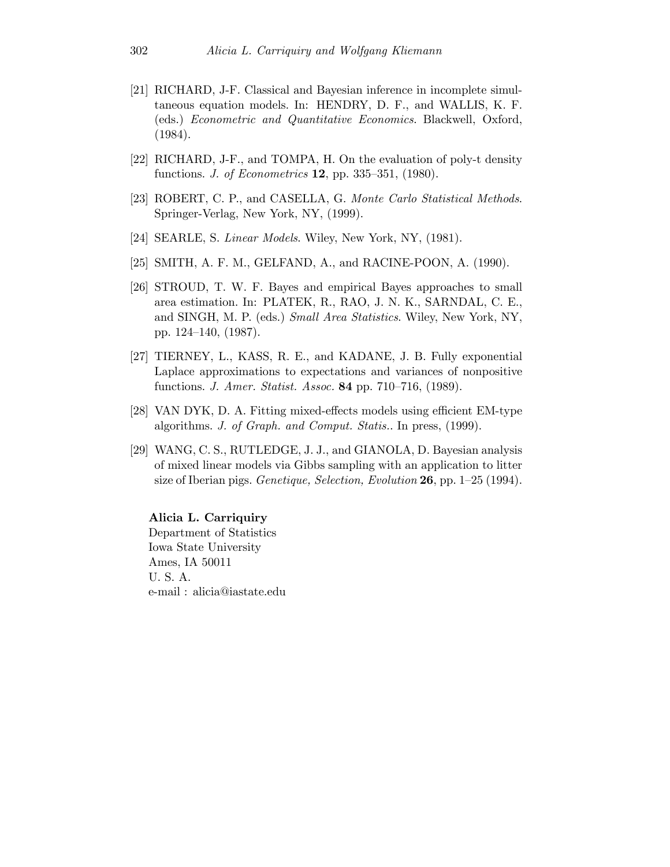- [21] RICHARD, J-F. Classical and Bayesian inference in incomplete simultaneous equation models. In: HENDRY, D. F., and WALLIS, K. F. (eds.) Econometric and Quantitative Economics. Blackwell, Oxford, (1984).
- [22] RICHARD, J-F., and TOMPA, H. On the evaluation of poly-t density functions. J. of Econometrics 12, pp. 335—351, (1980).
- [23] ROBERT, C. P., and CASELLA, G. Monte Carlo Statistical Methods. Springer-Verlag, New York, NY, (1999).
- [24] SEARLE, S. *Linear Models*. Wiley, New York, NY, (1981).
- [25] SMITH, A. F. M., GELFAND, A., and RACINE-POON, A. (1990).
- [26] STROUD, T. W. F. Bayes and empirical Bayes approaches to small area estimation. In: PLATEK, R., RAO, J. N. K., SARNDAL, C. E., and SINGH, M. P. (eds.) Small Area Statistics. Wiley, New York, NY, pp. 124—140, (1987).
- [27] TIERNEY, L., KASS, R. E., and KADANE, J. B. Fully exponential Laplace approximations to expectations and variances of nonpositive functions. J. Amer. Statist. Assoc. 84 pp. 710—716, (1989).
- [28] VAN DYK, D. A. Fitting mixed-effects models using efficient EM-type algorithms. J. of Graph. and Comput. Statis.. In press, (1999).
- [29] WANG, C. S., RUTLEDGE, J. J., and GIANOLA, D. Bayesian analysis of mixed linear models via Gibbs sampling with an application to litter size of Iberian pigs. *Genetique, Selection, Evolution* 26, pp.  $1-25$  (1994).

Alicia L. Carriquiry

Department of Statistics Iowa State University Ames, IA 50011 U. S. A. e-mail : alicia@iastate.edu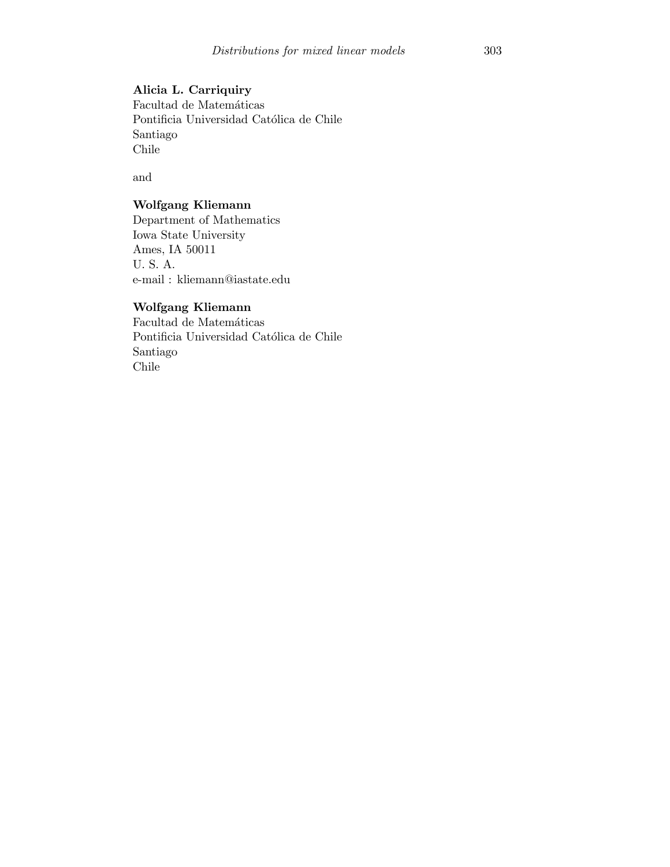## Alicia L. Carriquiry

Facultad de Matemáticas Pontificia Universidad Católica de Chile Santiago Chile

and

# Wolfgang Kliemann

Department of Mathematics Iowa State University Ames, IA 50011 U. S. A. e-mail : kliemann@iastate.edu

# Wolfgang Kliemann

Facultad de Matemáticas Pontificia Universidad Católica de Chile Santiago Chile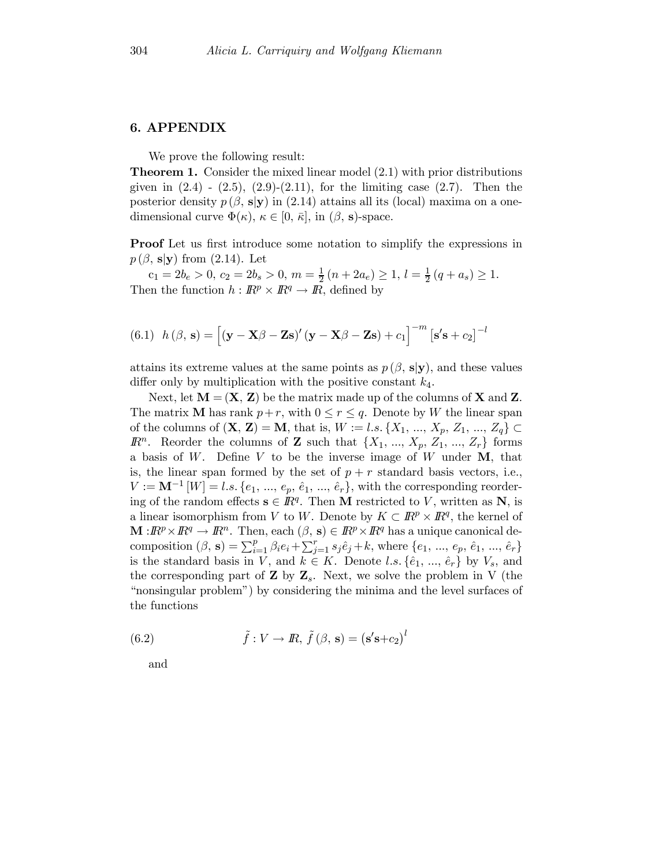### 6. APPENDIX

We prove the following result:

Theorem 1. Consider the mixed linear model (2.1) with prior distributions given in  $(2.4)$  -  $(2.5)$ ,  $(2.9)$ - $(2.11)$ , for the limiting case  $(2.7)$ . Then the posterior density  $p(\beta, s|y)$  in (2.14) attains all its (local) maxima on a onedimensional curve  $\Phi(\kappa)$ ,  $\kappa \in [0, \bar{\kappa}]$ , in  $(\beta, s)$ -space.

Proof Let us first introduce some notation to simplify the expressions in  $p(\beta, s|y)$  from  $(2.14)$ . Let

 $c_1 = 2b_e > 0, c_2 = 2b_s > 0, m = \frac{1}{2}(n + 2a_e) \ge 1, l = \frac{1}{2}(q + a_s) \ge 1.$ Then the function  $h : \mathbb{R}^p \times \mathbb{R}^q \to \mathbb{R}$ , defined by

(6.1) 
$$
h(\beta, \mathbf{s}) = [(\mathbf{y} - \mathbf{X}\beta - \mathbf{Z}\mathbf{s})'(\mathbf{y} - \mathbf{X}\beta - \mathbf{Z}\mathbf{s}) + c_1]^{-m} [\mathbf{s}'\mathbf{s} + c_2]^{-l}
$$

attains its extreme values at the same points as  $p(\beta, s|y)$ , and these values differ only by multiplication with the positive constant  $k_4$ .

Next, let  $M = (X, Z)$  be the matrix made up of the columns of X and Z. The matrix **M** has rank  $p+r$ , with  $0 \le r \le q$ . Denote by W the linear span of the columns of  $({\bf X}, {\bf Z}) = {\bf M}$ , that is,  $W := l.s. \{X_1, ..., X_p, Z_1, ..., Z_q\} \subset$  $\mathbb{R}^n$ . Reorder the columns of **Z** such that  $\{X_1, ..., X_p, Z_1, ..., Z_r\}$  forms a basis of  $W$ . Define  $V$  to be the inverse image of  $W$  under  $M$ , that is, the linear span formed by the set of  $p + r$  standard basis vectors, i.e.,  $V := \mathbf{M}^{-1}\left[W\right] = l.s. \{e_1, ..., e_p, \hat{e}_1, ..., \hat{e}_r\}$ , with the corresponding reordering of the random effects  $s \in \mathbb{R}^q$ . Then M restricted to V, written as N, is a linear isomorphism from V to W. Denote by  $K \subset \mathbb{R}^p \times \mathbb{R}^q$ , the kernel of  $\mathbf{M}: \mathbb{R}^p \times \mathbb{R}^q \to \mathbb{R}^n$ . Then, each  $(\beta, \mathbf{s}) \in \mathbb{R}^p \times \mathbb{R}^q$  has a unique canonical decomposition  $(\beta, s) = \sum_{i=1}^{p} \beta_i e_i + \sum_{j=1}^{r} s_j \hat{e}_j + k$ , where  $\{e_1, ..., e_p, \hat{e}_1, ..., \hat{e}_r\}$ is the standard basis in V, and  $k \in K$ . Denote l.s.  $\{\hat{e}_1, ..., \hat{e}_r\}$  by  $V_s$ , and the corresponding part of  $\mathbf{Z}$  by  $\mathbf{Z}_s$ . Next, we solve the problem in V (the "nonsingular problem") by considering the minima and the level surfaces of the functions

(6.2) 
$$
\tilde{f}: V \to \mathbb{R}, \ \tilde{f}(\beta, \mathbf{s}) = (\mathbf{s}'\mathbf{s} + c_2)^l
$$

and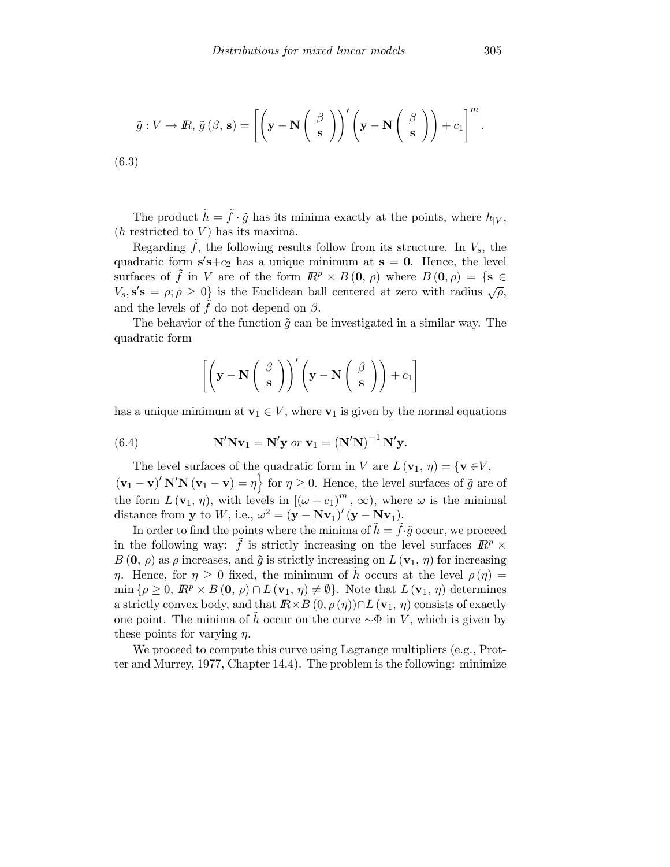$$
\tilde{g}: V \to \mathbb{R}, \, \tilde{g}(\beta, \mathbf{s}) = \left[ \left( \mathbf{y} - \mathbf{N} \left( \begin{array}{c} \beta \\ \mathbf{s} \end{array} \right) \right)' \left( \mathbf{y} - \mathbf{N} \left( \begin{array}{c} \beta \\ \mathbf{s} \end{array} \right) \right) + c_1 \right]^m.
$$
\n(6.3)

The product  $\tilde{h} = \tilde{f} \cdot \tilde{g}$  has its minima exactly at the points, where  $h_{|V}$ ,  $(h$  restricted to  $V$ ) has its maxima.

Regarding  $f$ , the following results follow from its structure. In  $V_s$ , the quadratic form  $s's+c_2$  has a unique minimum at  $s = 0$ . Hence, the level surfaces of f in V are of the form  $\mathbb{R}^p \times B(0, \rho)$  where  $B(0, \rho) = \{s \in$  $V_s$ ,  $s's = \rho; \rho \geq 0$  is the Euclidean ball centered at zero with radius  $\sqrt{\rho}$ , and the levels of  $\hat{f}$  do not depend on  $\beta$ .

The behavior of the function  $\tilde{q}$  can be investigated in a similar way. The quadratic form

$$
\left[ \left( \mathbf{y} - \mathbf{N} \begin{pmatrix} \beta \\ \mathbf{s} \end{pmatrix} \right)' \left( \mathbf{y} - \mathbf{N} \begin{pmatrix} \beta \\ \mathbf{s} \end{pmatrix} \right) + c_1 \right]
$$

has a unique minimum at  $\mathbf{v}_1 \in V$ , where  $\mathbf{v}_1$  is given by the normal equations

(6.4) 
$$
\mathbf{N}'\mathbf{N}\mathbf{v}_1 = \mathbf{N}'\mathbf{y} \text{ or } \mathbf{v}_1 = (\mathbf{N}'\mathbf{N})^{-1}\mathbf{N}'\mathbf{y}.
$$

The level surfaces of the quadratic form in V are  $L(\mathbf{v}_1, \eta) = \{ \mathbf{v} \in V,$ 

 $(\mathbf{v}_1 - \mathbf{v})' \mathbf{N'} \mathbf{N} (\mathbf{v}_1 - \mathbf{v}) = \eta$  for  $\eta \ge 0$ . Hence, the level surfaces of  $\tilde{g}$  are of the form  $L(\mathbf{v}_1, \eta)$ , with levels in  $[(\omega + c_1)^m, \infty)$ , where  $\omega$  is the minimal distance from y to W, i.e.,  $\omega^2 = (\mathbf{y} - \mathbf{Nv}_1)'(\mathbf{y} - \mathbf{Nv}_1)$ .

In order to find the points where the minima of  $h = f \cdot \tilde{g}$  occur, we proceed in the following way: f is strictly increasing on the level surfaces  $\mathbb{R}^p$  ×  $B(\mathbf{0}, \rho)$  as  $\rho$  increases, and  $\tilde{g}$  is strictly increasing on  $L(\mathbf{v}_1, \eta)$  for increasing η. Hence, for  $\eta \geq 0$  fixed, the minimum of h occurs at the level  $\rho(\eta) =$  $\min \{\rho \geq 0, \mathbb{R}^p \times B(0, \rho) \cap L(\mathbf{v}_1, \eta) \neq \emptyset\}.$  Note that  $L(\mathbf{v}_1, \eta)$  determines a strictly convex body, and that  $\mathbb{R} \times B(0, \rho(\eta)) \cap L(\mathbf{v}_1, \eta)$  consists of exactly one point. The minima of h occur on the curve  $\sim \Phi$  in V, which is given by these points for varying  $\eta$ .

We proceed to compute this curve using Lagrange multipliers (e.g., Protter and Murrey, 1977, Chapter 14.4). The problem is the following: minimize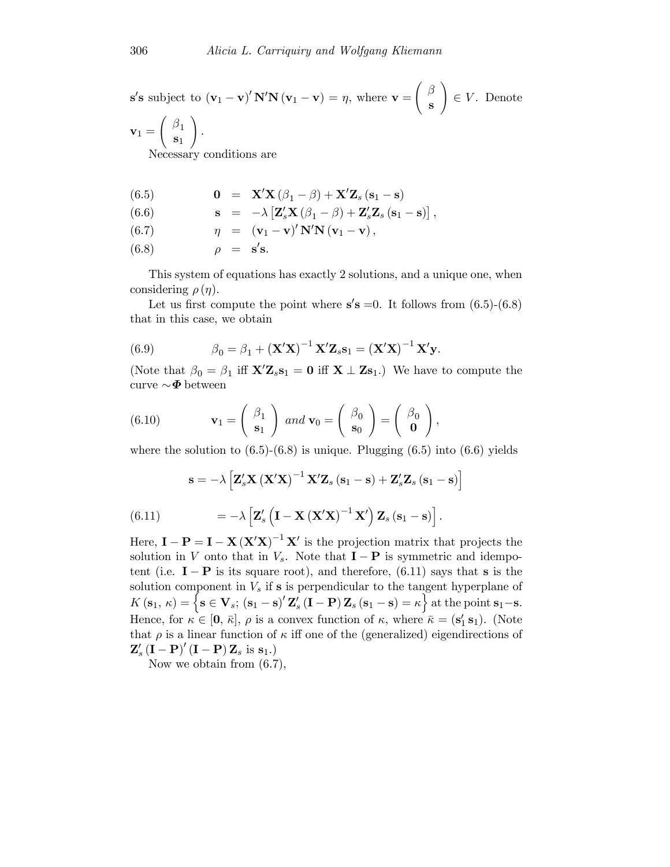$$
\mathbf{s}'\mathbf{s} \text{ subject to } (\mathbf{v}_1 - \mathbf{v})' \mathbf{N}'\mathbf{N} (\mathbf{v}_1 - \mathbf{v}) = \eta, \text{ where } \mathbf{v} = \begin{pmatrix} \beta \\ \mathbf{s} \end{pmatrix} \in V. \text{ Denote}
$$

$$
\mathbf{v}_1 = \begin{pmatrix} \beta_1 \\ \mathbf{s}_1 \end{pmatrix}.
$$
Necessary conditions are

(6.5)  
\n
$$
\mathbf{0} = \mathbf{X}'\mathbf{X}(\beta_1 - \beta) + \mathbf{X}'\mathbf{Z}_s(\mathbf{s}_1 - \mathbf{s})
$$
\n(6.6)  
\n
$$
\mathbf{s} = -\lambda \left[ \mathbf{Z}'_s\mathbf{X}(\beta_1 - \beta) + \mathbf{Z}'_s\mathbf{Z}_s(\mathbf{s}_1 - \mathbf{s}) \right],
$$
\n(6.7)  
\n
$$
\eta = (\mathbf{v}_1 - \mathbf{v})' \mathbf{N}' \mathbf{N} (\mathbf{v}_1 - \mathbf{v}),
$$
\n(6.8)  
\n
$$
\rho = \mathbf{s}' \mathbf{s}.
$$

This system of equations has exactly 2 solutions, and a unique one, when considering  $\rho(\eta)$ .

Let us first compute the point where  $s's = 0$ . It follows from  $(6.5)-(6.8)$ that in this case, we obtain

(6.9) 
$$
\beta_0 = \beta_1 + (\mathbf{X}'\mathbf{X})^{-1}\mathbf{X}'\mathbf{Z}_s\mathbf{s}_1 = (\mathbf{X}'\mathbf{X})^{-1}\mathbf{X}'\mathbf{y}.
$$

(Note that  $\beta_0 = \beta_1$  iff  $\mathbf{X}'\mathbf{Z}_s\mathbf{s}_1 = \mathbf{0}$  iff  $\mathbf{X} \perp \mathbf{Z}\mathbf{s}_1$ .) We have to compute the curve  $\sim$   $\Phi$  between

(6.10) 
$$
\mathbf{v}_1 = \begin{pmatrix} \beta_1 \\ \mathbf{s}_1 \end{pmatrix} \text{ and } \mathbf{v}_0 = \begin{pmatrix} \beta_0 \\ \mathbf{s}_0 \end{pmatrix} = \begin{pmatrix} \beta_0 \\ \mathbf{0} \end{pmatrix},
$$

where the solution to  $(6.5)-(6.8)$  is unique. Plugging  $(6.5)$  into  $(6.6)$  yields

$$
\mathbf{s} = -\lambda \left[ \mathbf{Z}'_s \mathbf{X} \left( \mathbf{X}' \mathbf{X} \right)^{-1} \mathbf{X}' \mathbf{Z}_s \left( \mathbf{s}_1 - \mathbf{s} \right) + \mathbf{Z}'_s \mathbf{Z}_s \left( \mathbf{s}_1 - \mathbf{s} \right) \right]
$$

$$
(6.11) \qquad \qquad = -\lambda \left[ \mathbf{Z}'_s \left( \mathbf{I} - \mathbf{X} \left( \mathbf{X}' \mathbf{X} \right)^{-1} \mathbf{X}' \right) \mathbf{Z}_s \left( \mathbf{s}_1 - \mathbf{s} \right) \right].
$$

Here,  $\mathbf{I} - \mathbf{P} = \mathbf{I} - \mathbf{X} (\mathbf{X}'\mathbf{X})^{-1} \mathbf{X}'$  is the projection matrix that projects the solution in V onto that in  $V_s$ . Note that  $\mathbf{I} - \mathbf{P}$  is symmetric and idempotent (i.e.  $I - P$  is its square root), and therefore, (6.11) says that s is the solution component in  $V_s$  if s is perpendicular to the tangent hyperplane of  $K\left(\mathbf{s}_1, \kappa\right) = \left\{\mathbf{s} \in \mathbf{V}_s; \left(\mathbf{s}_1 - \mathbf{s}\right)' \mathbf{Z}_s' \left(\mathbf{I} - \mathbf{P}\right) \mathbf{Z}_s \left(\mathbf{s}_1 - \mathbf{s}\right) = \kappa\right\}$  at the point  $\mathbf{s}_1 - \mathbf{s}$ . Hence, for  $\kappa \in [0, \bar{\kappa}], \rho$  is a convex function of  $\kappa$ , where  $\bar{\kappa} = (\mathbf{s}'_1 \, \mathbf{s}_1)$ . (Note that  $\rho$  is a linear function of  $\kappa$  iff one of the (generalized) eigendirections of  $\mathbf{Z}'_s(\mathbf{I}-\mathbf{P})'(\mathbf{I}-\mathbf{P})\mathbf{Z}_s$  is  $\mathbf{s}_1$ .)

Now we obtain from (6.7),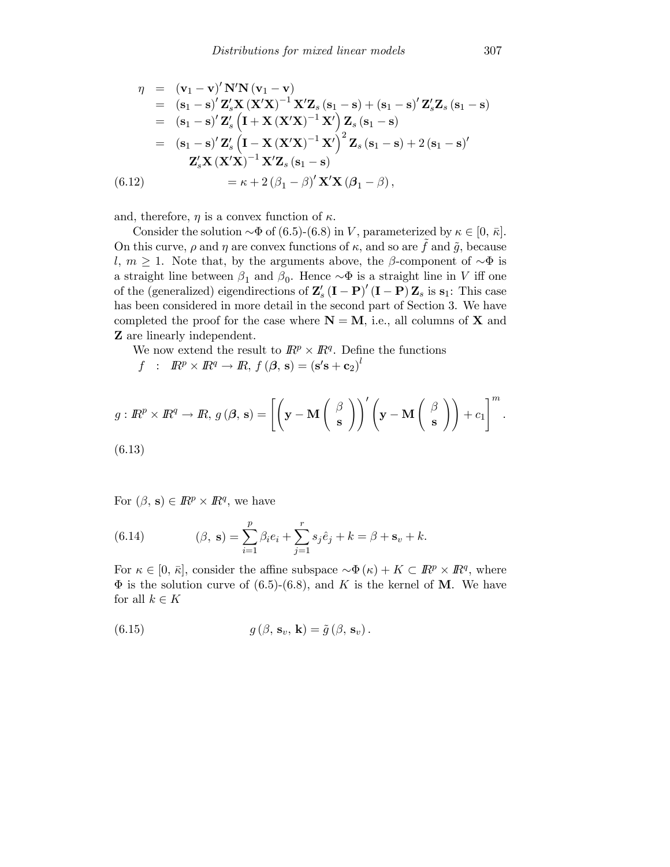$$
\eta = (\mathbf{v}_{1} - \mathbf{v})' \mathbf{N}' \mathbf{N} (\mathbf{v}_{1} - \mathbf{v})
$$
  
\n
$$
= (\mathbf{s}_{1} - \mathbf{s})' \mathbf{Z}'_{s} \mathbf{X} (\mathbf{X}' \mathbf{X})^{-1} \mathbf{X}' \mathbf{Z}_{s} (\mathbf{s}_{1} - \mathbf{s}) + (\mathbf{s}_{1} - \mathbf{s})' \mathbf{Z}'_{s} \mathbf{Z}_{s} (\mathbf{s}_{1} - \mathbf{s})
$$
  
\n
$$
= (\mathbf{s}_{1} - \mathbf{s})' \mathbf{Z}'_{s} (\mathbf{I} + \mathbf{X} (\mathbf{X}' \mathbf{X})^{-1} \mathbf{X}') \mathbf{Z}_{s} (\mathbf{s}_{1} - \mathbf{s})
$$
  
\n
$$
= (\mathbf{s}_{1} - \mathbf{s})' \mathbf{Z}'_{s} (\mathbf{I} - \mathbf{X} (\mathbf{X}' \mathbf{X})^{-1} \mathbf{X}')^{2} \mathbf{Z}_{s} (\mathbf{s}_{1} - \mathbf{s}) + 2 (\mathbf{s}_{1} - \mathbf{s})'
$$
  
\n
$$
\mathbf{Z}'_{s} \mathbf{X} (\mathbf{X}' \mathbf{X})^{-1} \mathbf{X}' \mathbf{Z}_{s} (\mathbf{s}_{1} - \mathbf{s})
$$
  
\n(6.12) 
$$
= \kappa + 2 (\beta_{1} - \beta)' \mathbf{X}' \mathbf{X} (\beta_{1} - \beta),
$$

and, therefore,  $\eta$  is a convex function of  $\kappa$ .

Consider the solution  $\sim \Phi$  of (6.5)-(6.8) in V, parameterized by  $\kappa \in [0, \bar{\kappa}]$ . On this curve,  $\rho$  and  $\eta$  are convex functions of  $\kappa$ , and so are  $\hat{f}$  and  $\tilde{g}$ , because l,  $m \geq 1$ . Note that, by the arguments above, the β-component of  $\sim \Phi$  is a straight line between  $\beta_1$  and  $\beta_0$ . Hence  $\sim \Phi$  is a straight line in V iff one of the (generalized) eigendirections of  $\mathbf{Z}'_s (\mathbf{I} - \mathbf{P})' (\mathbf{I} - \mathbf{P}) \mathbf{Z}_s$  is  $\mathbf{s}_1$ : This case has been considered in more detail in the second part of Section 3. We have completed the proof for the case where  $N = M$ , i.e., all columns of X and Z are linearly independent.

We now extend the result to  $\mathbb{R}^p \times \mathbb{R}^q$ . Define the functions

 $f$  :  $\mathbb{R}^p \times \mathbb{R}^q \to \mathbb{R}, f(\boldsymbol{\beta}, \mathbf{s}) = (\mathbf{s}'\mathbf{s} + \mathbf{c}_2)^l$ 

$$
g: \mathbb{R}^p \times \mathbb{R}^q \to \mathbb{R}, g(\beta, \mathbf{s}) = \left[ \left( \mathbf{y} - \mathbf{M} \begin{pmatrix} \beta \\ \mathbf{s} \end{pmatrix} \right)' \left( \mathbf{y} - \mathbf{M} \begin{pmatrix} \beta \\ \mathbf{s} \end{pmatrix} \right) + c_1 \right]^m.
$$
  
(6.13)

For  $(\beta, s) \in \mathbb{R}^p \times \mathbb{R}^q$ , we have

(6.14) 
$$
(\beta, s) = \sum_{i=1}^{p} \beta_i e_i + \sum_{j=1}^{r} s_j \hat{e}_j + k = \beta + s_v + k.
$$

For  $\kappa \in [0, \bar{\kappa}],$  consider the affine subspace  $\sim \Phi(\kappa) + K \subset \mathbb{R}^p \times \mathbb{R}^q$ , where  $\Phi$  is the solution curve of (6.5)-(6.8), and K is the kernel of M. We have for all  $k \in K$ 

(6.15) 
$$
g(\beta, \mathbf{s}_v, \mathbf{k}) = \tilde{g}(\beta, \mathbf{s}_v).
$$